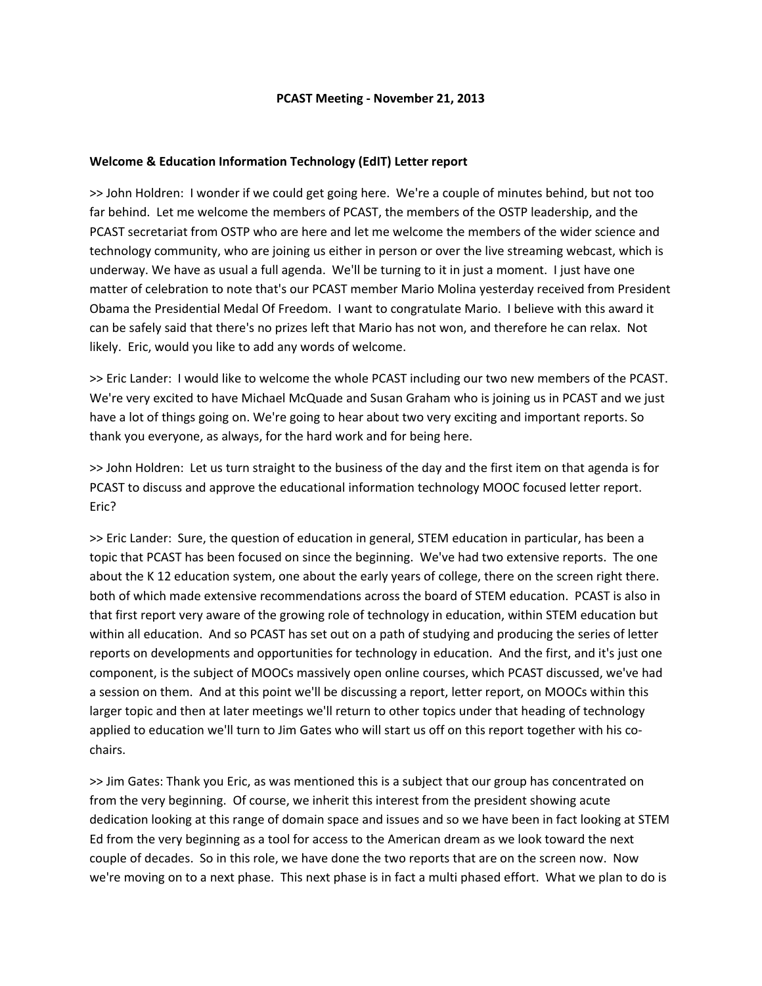## **PCAST Meeting ‐ November 21, 2013**

# **Welcome & Education Information Technology (EdIT) Letter report**

>> John Holdren: I wonder if we could get going here. We're a couple of minutes behind, but not too far behind. Let me welcome the members of PCAST, the members of the OSTP leadership, and the PCAST secretariat from OSTP who are here and let me welcome the members of the wider science and technology community, who are joining us either in person or over the live streaming webcast, which is underway. We have as usual a full agenda. We'll be turning to it in just a moment. I just have one matter of celebration to note that's our PCAST member Mario Molina yesterday received from President Obama the Presidential Medal Of Freedom. I want to congratulate Mario. I believe with this award it can be safely said that there's no prizes left that Mario has not won, and therefore he can relax. Not likely. Eric, would you like to add any words of welcome.

>> Eric Lander: I would like to welcome the whole PCAST including our two new members of the PCAST. We're very excited to have Michael McQuade and Susan Graham who is joining us in PCAST and we just have a lot of things going on. We're going to hear about two very exciting and important reports. So thank you everyone, as always, for the hard work and for being here.

>> John Holdren: Let us turn straight to the business of the day and the first item on that agenda is for PCAST to discuss and approve the educational information technology MOOC focused letter report. Eric?

>> Eric Lander: Sure, the question of education in general, STEM education in particular, has been a topic that PCAST has been focused on since the beginning. We've had two extensive reports. The one about the K 12 education system, one about the early years of college, there on the screen right there. both of which made extensive recommendations across the board of STEM education. PCAST is also in that first report very aware of the growing role of technology in education, within STEM education but within all education. And so PCAST has set out on a path of studying and producing the series of letter reports on developments and opportunities for technology in education. And the first, and it's just one component, is the subject of MOOCs massively open online courses, which PCAST discussed, we've had a session on them. And at this point we'll be discussing a report, letter report, on MOOCs within this larger topic and then at later meetings we'll return to other topics under that heading of technology applied to education we'll turn to Jim Gates who will start us off on this report together with his co‐ chairs.

>> Jim Gates: Thank you Eric, as was mentioned this is a subject that our group has concentrated on from the very beginning. Of course, we inherit this interest from the president showing acute dedication looking at this range of domain space and issues and so we have been in fact looking at STEM Ed from the very beginning as a tool for access to the American dream as we look toward the next couple of decades. So in this role, we have done the two reports that are on the screen now. Now we're moving on to a next phase. This next phase is in fact a multi phased effort. What we plan to do is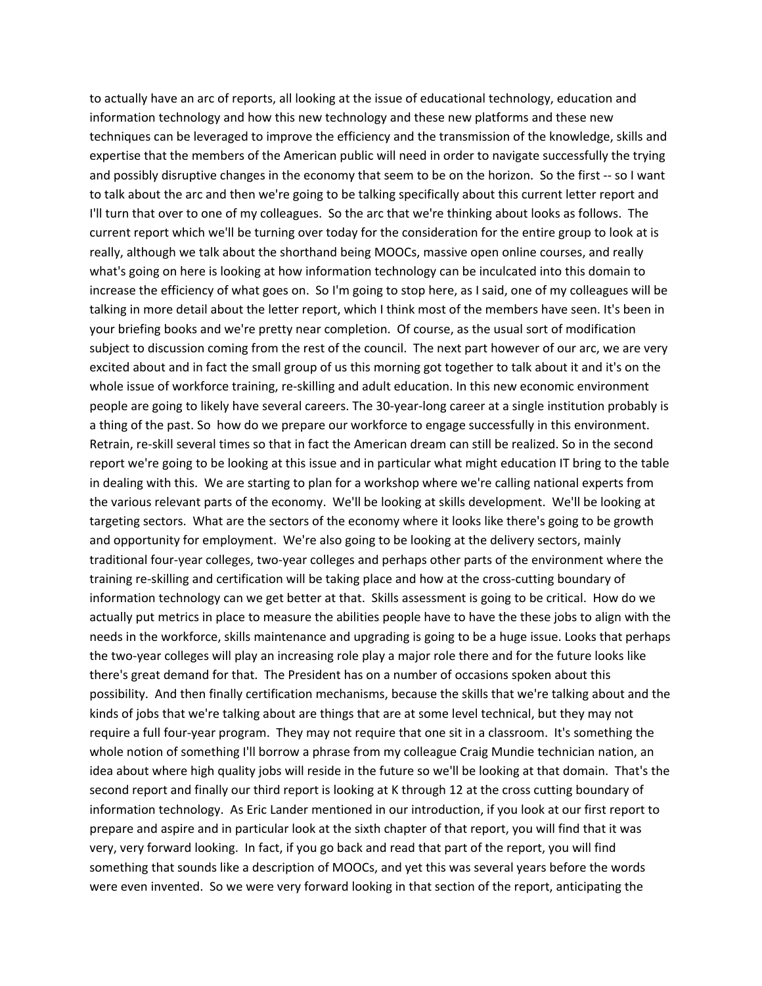to actually have an arc of reports, all looking at the issue of educational technology, education and information technology and how this new technology and these new platforms and these new techniques can be leveraged to improve the efficiency and the transmission of the knowledge, skills and expertise that the members of the American public will need in order to navigate successfully the trying and possibly disruptive changes in the economy that seem to be on the horizon. So the first -- so I want to talk about the arc and then we're going to be talking specifically about this current letter report and I'll turn that over to one of my colleagues. So the arc that we're thinking about looks as follows. The current report which we'll be turning over today for the consideration for the entire group to look at is really, although we talk about the shorthand being MOOCs, massive open online courses, and really what's going on here is looking at how information technology can be inculcated into this domain to increase the efficiency of what goes on. So I'm going to stop here, as I said, one of my colleagues will be talking in more detail about the letter report, which I think most of the members have seen. It's been in your briefing books and we're pretty near completion. Of course, as the usual sort of modification subject to discussion coming from the rest of the council. The next part however of our arc, we are very excited about and in fact the small group of us this morning got together to talk about it and it's on the whole issue of workforce training, re-skilling and adult education. In this new economic environment people are going to likely have several careers. The 30‐year‐long career at a single institution probably is a thing of the past. So how do we prepare our workforce to engage successfully in this environment. Retrain, re‐skill several times so that in fact the American dream can still be realized. So in the second report we're going to be looking at this issue and in particular what might education IT bring to the table in dealing with this. We are starting to plan for a workshop where we're calling national experts from the various relevant parts of the economy. We'll be looking at skills development. We'll be looking at targeting sectors. What are the sectors of the economy where it looks like there's going to be growth and opportunity for employment. We're also going to be looking at the delivery sectors, mainly traditional four‐year colleges, two‐year colleges and perhaps other parts of the environment where the training re‐skilling and certification will be taking place and how at the cross‐cutting boundary of information technology can we get better at that. Skills assessment is going to be critical. How do we actually put metrics in place to measure the abilities people have to have the these jobs to align with the needs in the workforce, skills maintenance and upgrading is going to be a huge issue. Looks that perhaps the two-year colleges will play an increasing role play a major role there and for the future looks like there's great demand for that. The President has on a number of occasions spoken about this possibility. And then finally certification mechanisms, because the skills that we're talking about and the kinds of jobs that we're talking about are things that are at some level technical, but they may not require a full four‐year program. They may not require that one sit in a classroom. It's something the whole notion of something I'll borrow a phrase from my colleague Craig Mundie technician nation, an idea about where high quality jobs will reside in the future so we'll be looking at that domain. That's the second report and finally our third report is looking at K through 12 at the cross cutting boundary of information technology. As Eric Lander mentioned in our introduction, if you look at our first report to prepare and aspire and in particular look at the sixth chapter of that report, you will find that it was very, very forward looking. In fact, if you go back and read that part of the report, you will find something that sounds like a description of MOOCs, and yet this was several years before the words were even invented. So we were very forward looking in that section of the report, anticipating the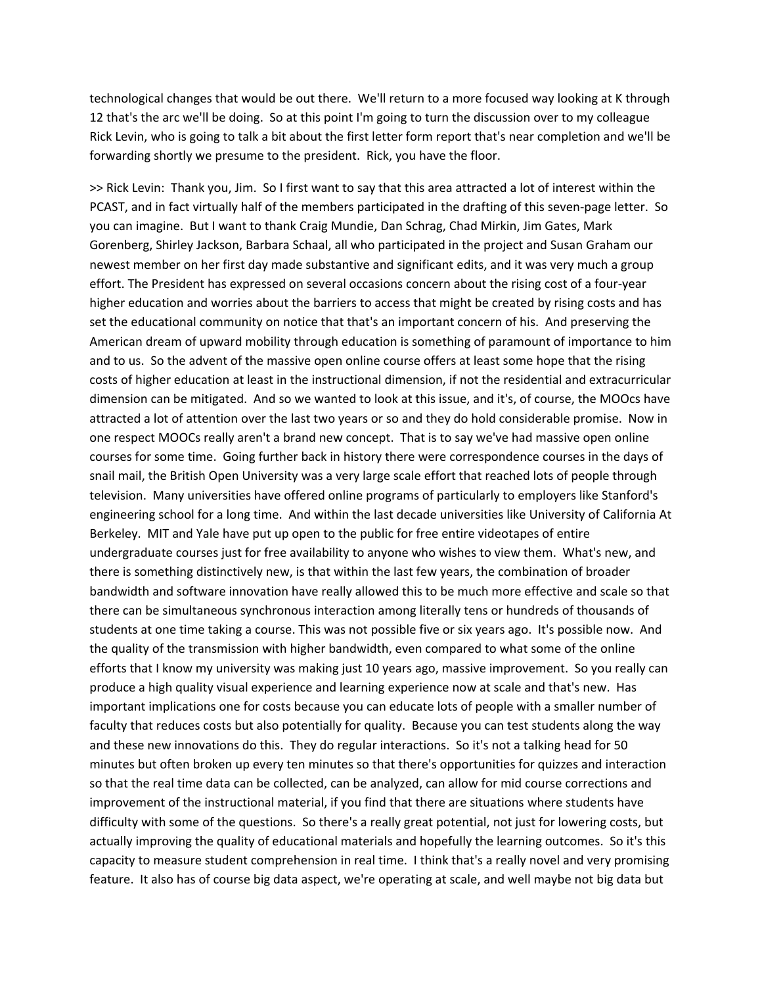technological changes that would be out there. We'll return to a more focused way looking at K through 12 that's the arc we'll be doing. So at this point I'm going to turn the discussion over to my colleague Rick Levin, who is going to talk a bit about the first letter form report that's near completion and we'll be forwarding shortly we presume to the president. Rick, you have the floor.

>> Rick Levin: Thank you, Jim. So I first want to say that this area attracted a lot of interest within the PCAST, and in fact virtually half of the members participated in the drafting of this seven‐page letter. So you can imagine. But I want to thank Craig Mundie, Dan Schrag, Chad Mirkin, Jim Gates, Mark Gorenberg, Shirley Jackson, Barbara Schaal, all who participated in the project and Susan Graham our newest member on her first day made substantive and significant edits, and it was very much a group effort. The President has expressed on several occasions concern about the rising cost of a four‐year higher education and worries about the barriers to access that might be created by rising costs and has set the educational community on notice that that's an important concern of his. And preserving the American dream of upward mobility through education is something of paramount of importance to him and to us. So the advent of the massive open online course offers at least some hope that the rising costs of higher education at least in the instructional dimension, if not the residential and extracurricular dimension can be mitigated. And so we wanted to look at this issue, and it's, of course, the MOOcs have attracted a lot of attention over the last two years or so and they do hold considerable promise. Now in one respect MOOCs really aren't a brand new concept. That is to say we've had massive open online courses for some time. Going further back in history there were correspondence courses in the days of snail mail, the British Open University was a very large scale effort that reached lots of people through television. Many universities have offered online programs of particularly to employers like Stanford's engineering school for a long time. And within the last decade universities like University of California At Berkeley. MIT and Yale have put up open to the public for free entire videotapes of entire undergraduate courses just for free availability to anyone who wishes to view them. What's new, and there is something distinctively new, is that within the last few years, the combination of broader bandwidth and software innovation have really allowed this to be much more effective and scale so that there can be simultaneous synchronous interaction among literally tens or hundreds of thousands of students at one time taking a course. This was not possible five or six years ago. It's possible now. And the quality of the transmission with higher bandwidth, even compared to what some of the online efforts that I know my university was making just 10 years ago, massive improvement. So you really can produce a high quality visual experience and learning experience now at scale and that's new. Has important implications one for costs because you can educate lots of people with a smaller number of faculty that reduces costs but also potentially for quality. Because you can test students along the way and these new innovations do this. They do regular interactions. So it's not a talking head for 50 minutes but often broken up every ten minutes so that there's opportunities for quizzes and interaction so that the real time data can be collected, can be analyzed, can allow for mid course corrections and improvement of the instructional material, if you find that there are situations where students have difficulty with some of the questions. So there's a really great potential, not just for lowering costs, but actually improving the quality of educational materials and hopefully the learning outcomes. So it's this capacity to measure student comprehension in real time. I think that's a really novel and very promising feature. It also has of course big data aspect, we're operating at scale, and well maybe not big data but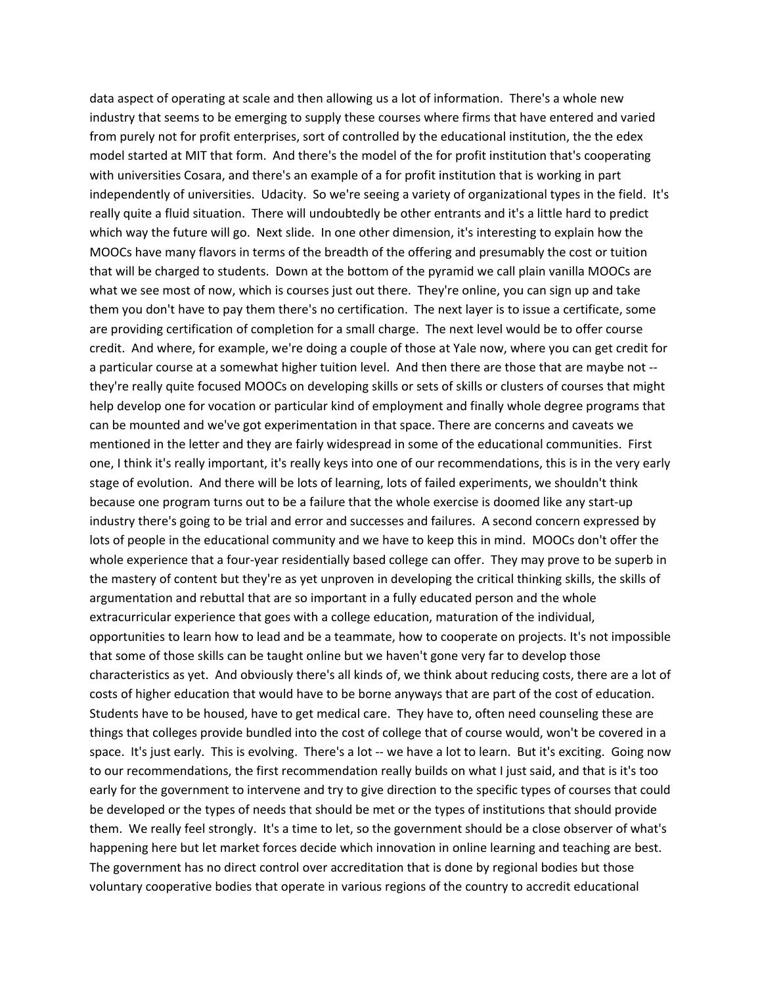data aspect of operating at scale and then allowing us a lot of information. There's a whole new industry that seems to be emerging to supply these courses where firms that have entered and varied from purely not for profit enterprises, sort of controlled by the educational institution, the the edex model started at MIT that form. And there's the model of the for profit institution that's cooperating with universities Cosara, and there's an example of a for profit institution that is working in part independently of universities. Udacity. So we're seeing a variety of organizational types in the field. It's really quite a fluid situation. There will undoubtedly be other entrants and it's a little hard to predict which way the future will go. Next slide. In one other dimension, it's interesting to explain how the MOOCs have many flavors in terms of the breadth of the offering and presumably the cost or tuition that will be charged to students. Down at the bottom of the pyramid we call plain vanilla MOOCs are what we see most of now, which is courses just out there. They're online, you can sign up and take them you don't have to pay them there's no certification. The next layer is to issue a certificate, some are providing certification of completion for a small charge. The next level would be to offer course credit. And where, for example, we're doing a couple of those at Yale now, where you can get credit for a particular course at a somewhat higher tuition level. And then there are those that are maybe not ‐‐ they're really quite focused MOOCs on developing skills or sets of skills or clusters of courses that might help develop one for vocation or particular kind of employment and finally whole degree programs that can be mounted and we've got experimentation in that space. There are concerns and caveats we mentioned in the letter and they are fairly widespread in some of the educational communities. First one, I think it's really important, it's really keys into one of our recommendations, this is in the very early stage of evolution. And there will be lots of learning, lots of failed experiments, we shouldn't think because one program turns out to be a failure that the whole exercise is doomed like any start‐up industry there's going to be trial and error and successes and failures. A second concern expressed by lots of people in the educational community and we have to keep this in mind. MOOCs don't offer the whole experience that a four-year residentially based college can offer. They may prove to be superb in the mastery of content but they're as yet unproven in developing the critical thinking skills, the skills of argumentation and rebuttal that are so important in a fully educated person and the whole extracurricular experience that goes with a college education, maturation of the individual, opportunities to learn how to lead and be a teammate, how to cooperate on projects. It's not impossible that some of those skills can be taught online but we haven't gone very far to develop those characteristics as yet. And obviously there's all kinds of, we think about reducing costs, there are a lot of costs of higher education that would have to be borne anyways that are part of the cost of education. Students have to be housed, have to get medical care. They have to, often need counseling these are things that colleges provide bundled into the cost of college that of course would, won't be covered in a space. It's just early. This is evolving. There's a lot -- we have a lot to learn. But it's exciting. Going now to our recommendations, the first recommendation really builds on what I just said, and that is it's too early for the government to intervene and try to give direction to the specific types of courses that could be developed or the types of needs that should be met or the types of institutions that should provide them. We really feel strongly. It's a time to let, so the government should be a close observer of what's happening here but let market forces decide which innovation in online learning and teaching are best. The government has no direct control over accreditation that is done by regional bodies but those voluntary cooperative bodies that operate in various regions of the country to accredit educational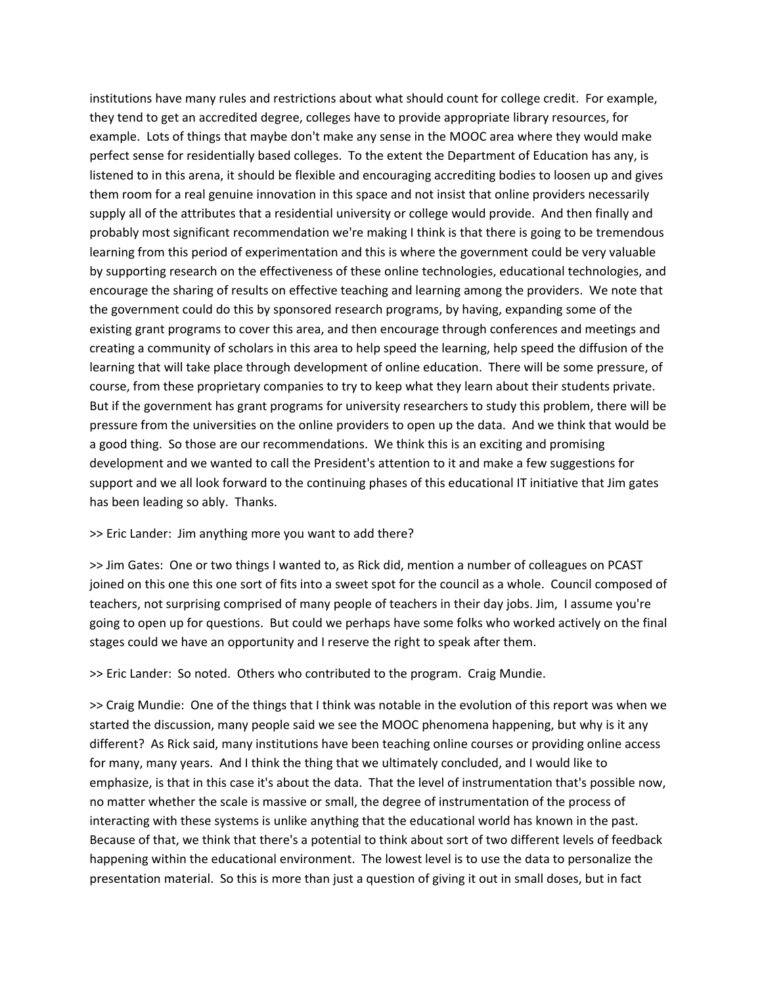institutions have many rules and restrictions about what should count for college credit. For example, they tend to get an accredited degree, colleges have to provide appropriate library resources, for example. Lots of things that maybe don't make any sense in the MOOC area where they would make perfect sense for residentially based colleges. To the extent the Department of Education has any, is listened to in this arena, it should be flexible and encouraging accrediting bodies to loosen up and gives them room for a real genuine innovation in this space and not insist that online providers necessarily supply all of the attributes that a residential university or college would provide. And then finally and probably most significant recommendation we're making I think is that there is going to be tremendous learning from this period of experimentation and this is where the government could be very valuable by supporting research on the effectiveness of these online technologies, educational technologies, and encourage the sharing of results on effective teaching and learning among the providers. We note that the government could do this by sponsored research programs, by having, expanding some of the existing grant programs to cover this area, and then encourage through conferences and meetings and creating a community of scholars in this area to help speed the learning, help speed the diffusion of the learning that will take place through development of online education. There will be some pressure, of course, from these proprietary companies to try to keep what they learn about their students private. But if the government has grant programs for university researchers to study this problem, there will be pressure from the universities on the online providers to open up the data. And we think that would be a good thing. So those are our recommendations. We think this is an exciting and promising development and we wanted to call the President's attention to it and make a few suggestions for support and we all look forward to the continuing phases of this educational IT initiative that Jim gates has been leading so ably. Thanks.

## >> Eric Lander: Jim anything more you want to add there?

>> Jim Gates: One or two things I wanted to, as Rick did, mention a number of colleagues on PCAST joined on this one this one sort of fits into a sweet spot for the council as a whole. Council composed of teachers, not surprising comprised of many people of teachers in their day jobs. Jim, I assume you're going to open up for questions. But could we perhaps have some folks who worked actively on the final stages could we have an opportunity and I reserve the right to speak after them.

>> Eric Lander: So noted. Others who contributed to the program. Craig Mundie.

>> Craig Mundie: One of the things that I think was notable in the evolution of this report was when we started the discussion, many people said we see the MOOC phenomena happening, but why is it any different? As Rick said, many institutions have been teaching online courses or providing online access for many, many years. And I think the thing that we ultimately concluded, and I would like to emphasize, is that in this case it's about the data. That the level of instrumentation that's possible now, no matter whether the scale is massive or small, the degree of instrumentation of the process of interacting with these systems is unlike anything that the educational world has known in the past. Because of that, we think that there's a potential to think about sort of two different levels of feedback happening within the educational environment. The lowest level is to use the data to personalize the presentation material. So this is more than just a question of giving it out in small doses, but in fact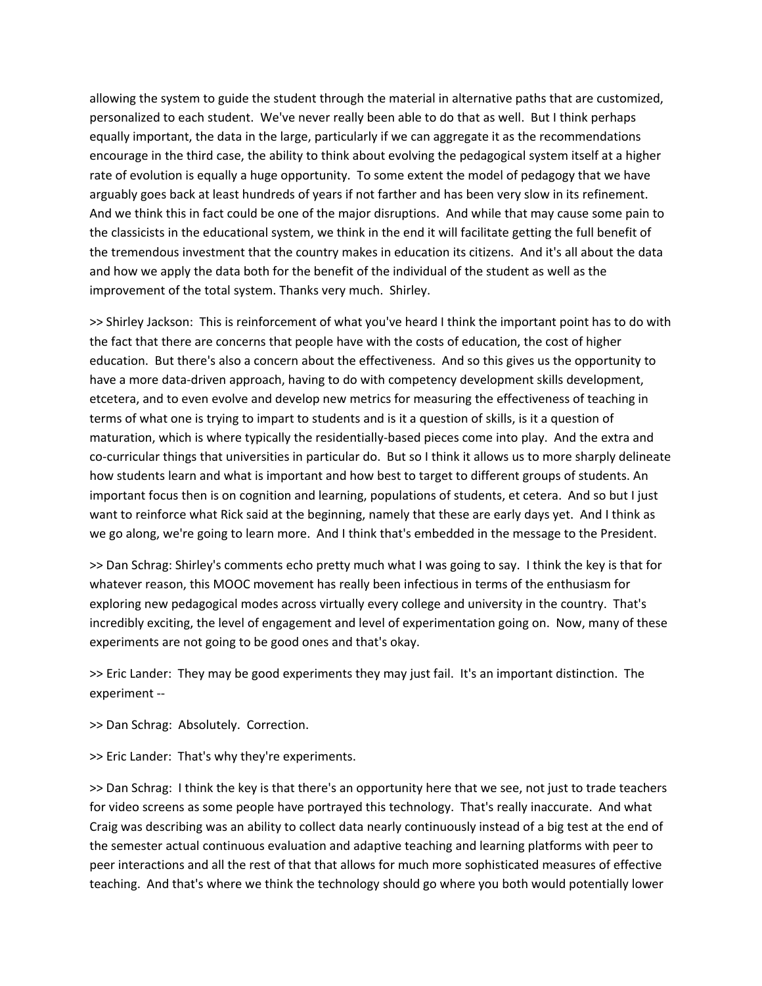allowing the system to guide the student through the material in alternative paths that are customized, personalized to each student. We've never really been able to do that as well. But I think perhaps equally important, the data in the large, particularly if we can aggregate it as the recommendations encourage in the third case, the ability to think about evolving the pedagogical system itself at a higher rate of evolution is equally a huge opportunity. To some extent the model of pedagogy that we have arguably goes back at least hundreds of years if not farther and has been very slow in its refinement. And we think this in fact could be one of the major disruptions. And while that may cause some pain to the classicists in the educational system, we think in the end it will facilitate getting the full benefit of the tremendous investment that the country makes in education its citizens. And it's all about the data and how we apply the data both for the benefit of the individual of the student as well as the improvement of the total system. Thanks very much. Shirley.

>> Shirley Jackson: This is reinforcement of what you've heard I think the important point has to do with the fact that there are concerns that people have with the costs of education, the cost of higher education. But there's also a concern about the effectiveness. And so this gives us the opportunity to have a more data-driven approach, having to do with competency development skills development, etcetera, and to even evolve and develop new metrics for measuring the effectiveness of teaching in terms of what one is trying to impart to students and is it a question of skills, is it a question of maturation, which is where typically the residentially-based pieces come into play. And the extra and co-curricular things that universities in particular do. But so I think it allows us to more sharply delineate how students learn and what is important and how best to target to different groups of students. An important focus then is on cognition and learning, populations of students, et cetera. And so but I just want to reinforce what Rick said at the beginning, namely that these are early days yet. And I think as we go along, we're going to learn more. And I think that's embedded in the message to the President.

>> Dan Schrag: Shirley's comments echo pretty much what I was going to say. I think the key is that for whatever reason, this MOOC movement has really been infectious in terms of the enthusiasm for exploring new pedagogical modes across virtually every college and university in the country. That's incredibly exciting, the level of engagement and level of experimentation going on. Now, many of these experiments are not going to be good ones and that's okay.

>> Eric Lander: They may be good experiments they may just fail. It's an important distinction. The experiment ‐‐

>> Dan Schrag: Absolutely. Correction.

>> Eric Lander: That's why they're experiments.

>> Dan Schrag: I think the key is that there's an opportunity here that we see, not just to trade teachers for video screens as some people have portrayed this technology. That's really inaccurate. And what Craig was describing was an ability to collect data nearly continuously instead of a big test at the end of the semester actual continuous evaluation and adaptive teaching and learning platforms with peer to peer interactions and all the rest of that that allows for much more sophisticated measures of effective teaching. And that's where we think the technology should go where you both would potentially lower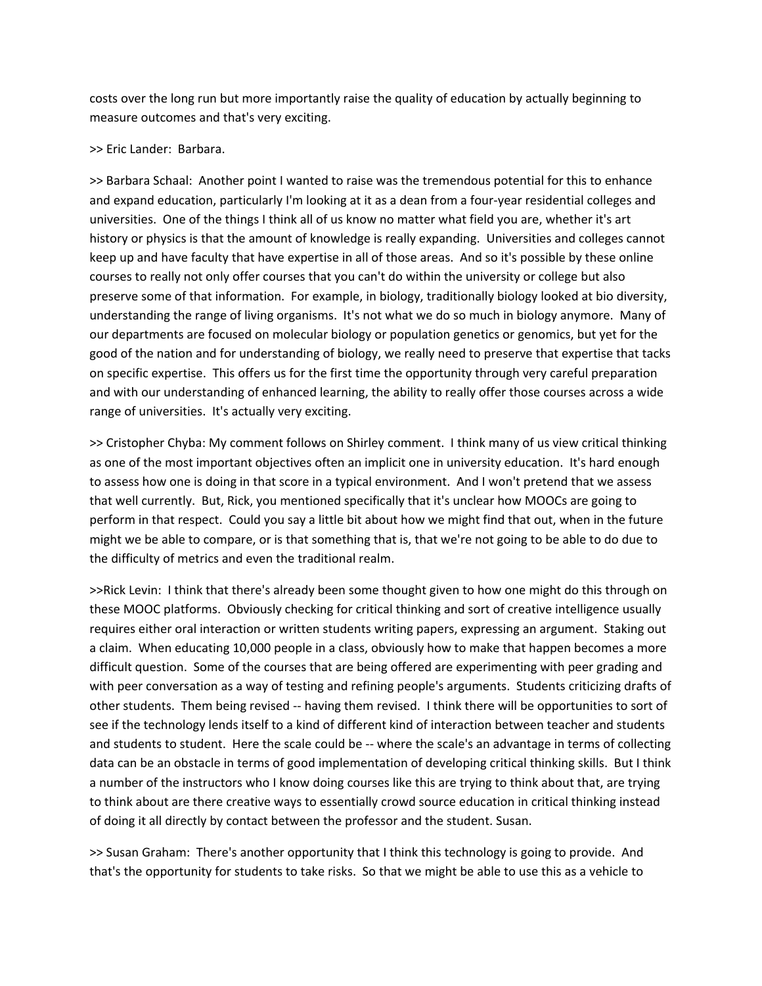costs over the long run but more importantly raise the quality of education by actually beginning to measure outcomes and that's very exciting.

## >> Eric Lander: Barbara.

>> Barbara Schaal: Another point I wanted to raise was the tremendous potential for this to enhance and expand education, particularly I'm looking at it as a dean from a four‐year residential colleges and universities. One of the things I think all of us know no matter what field you are, whether it's art history or physics is that the amount of knowledge is really expanding. Universities and colleges cannot keep up and have faculty that have expertise in all of those areas. And so it's possible by these online courses to really not only offer courses that you can't do within the university or college but also preserve some of that information. For example, in biology, traditionally biology looked at bio diversity, understanding the range of living organisms. It's not what we do so much in biology anymore. Many of our departments are focused on molecular biology or population genetics or genomics, but yet for the good of the nation and for understanding of biology, we really need to preserve that expertise that tacks on specific expertise. This offers us for the first time the opportunity through very careful preparation and with our understanding of enhanced learning, the ability to really offer those courses across a wide range of universities. It's actually very exciting.

>> Cristopher Chyba: My comment follows on Shirley comment. I think many of us view critical thinking as one of the most important objectives often an implicit one in university education. It's hard enough to assess how one is doing in that score in a typical environment. And I won't pretend that we assess that well currently. But, Rick, you mentioned specifically that it's unclear how MOOCs are going to perform in that respect. Could you say a little bit about how we might find that out, when in the future might we be able to compare, or is that something that is, that we're not going to be able to do due to the difficulty of metrics and even the traditional realm.

>>Rick Levin: I think that there's already been some thought given to how one might do this through on these MOOC platforms. Obviously checking for critical thinking and sort of creative intelligence usually requires either oral interaction or written students writing papers, expressing an argument. Staking out a claim. When educating 10,000 people in a class, obviously how to make that happen becomes a more difficult question. Some of the courses that are being offered are experimenting with peer grading and with peer conversation as a way of testing and refining people's arguments. Students criticizing drafts of other students. Them being revised ‐‐ having them revised. I think there will be opportunities to sort of see if the technology lends itself to a kind of different kind of interaction between teacher and students and students to student. Here the scale could be -- where the scale's an advantage in terms of collecting data can be an obstacle in terms of good implementation of developing critical thinking skills. But I think a number of the instructors who I know doing courses like this are trying to think about that, are trying to think about are there creative ways to essentially crowd source education in critical thinking instead of doing it all directly by contact between the professor and the student. Susan.

>> Susan Graham: There's another opportunity that I think this technology is going to provide. And that's the opportunity for students to take risks. So that we might be able to use this as a vehicle to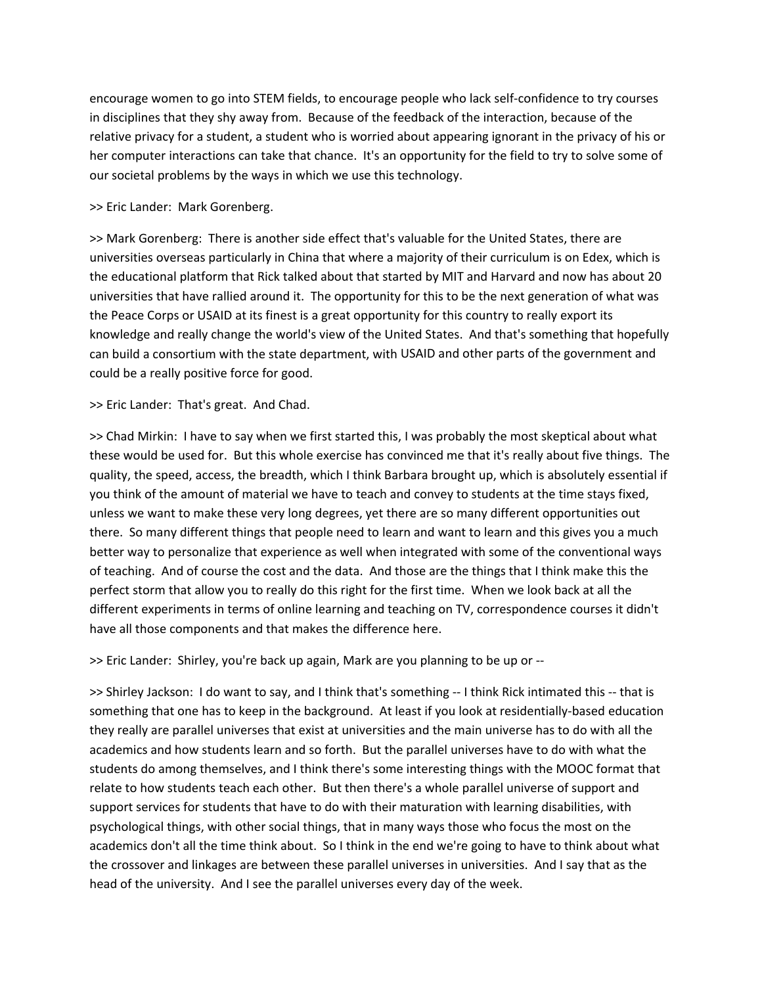encourage women to go into STEM fields, to encourage people who lack self‐confidence to try courses in disciplines that they shy away from. Because of the feedback of the interaction, because of the relative privacy for a student, a student who is worried about appearing ignorant in the privacy of his or her computer interactions can take that chance. It's an opportunity for the field to try to solve some of our societal problems by the ways in which we use this technology.

# >> Eric Lander: Mark Gorenberg.

>> Mark Gorenberg: There is another side effect that's valuable for the United States, there are universities overseas particularly in China that where a majority of their curriculum is on Edex, which is the educational platform that Rick talked about that started by MIT and Harvard and now has about 20 universities that have rallied around it. The opportunity for this to be the next generation of what was the Peace Corps or USAID at its finest is a great opportunity for this country to really export its knowledge and really change the world's view of the United States. And that's something that hopefully can build a consortium with the state department, with USAID and other parts of the government and could be a really positive force for good.

>> Eric Lander: That's great. And Chad.

>> Chad Mirkin: I have to say when we first started this, I was probably the most skeptical about what these would be used for. But this whole exercise has convinced me that it's really about five things. The quality, the speed, access, the breadth, which I think Barbara brought up, which is absolutely essential if you think of the amount of material we have to teach and convey to students at the time stays fixed, unless we want to make these very long degrees, yet there are so many different opportunities out there. So many different things that people need to learn and want to learn and this gives you a much better way to personalize that experience as well when integrated with some of the conventional ways of teaching. And of course the cost and the data. And those are the things that I think make this the perfect storm that allow you to really do this right for the first time. When we look back at all the different experiments in terms of online learning and teaching on TV, correspondence courses it didn't have all those components and that makes the difference here.

>> Eric Lander: Shirley, you're back up again, Mark are you planning to be up or ‐‐

>> Shirley Jackson: I do want to say, and I think that's something ‐‐ I think Rick intimated this ‐‐ that is something that one has to keep in the background. At least if you look at residentially-based education they really are parallel universes that exist at universities and the main universe has to do with all the academics and how students learn and so forth. But the parallel universes have to do with what the students do among themselves, and I think there's some interesting things with the MOOC format that relate to how students teach each other. But then there's a whole parallel universe of support and support services for students that have to do with their maturation with learning disabilities, with psychological things, with other social things, that in many ways those who focus the most on the academics don't all the time think about. So I think in the end we're going to have to think about what the crossover and linkages are between these parallel universes in universities. And I say that as the head of the university. And I see the parallel universes every day of the week.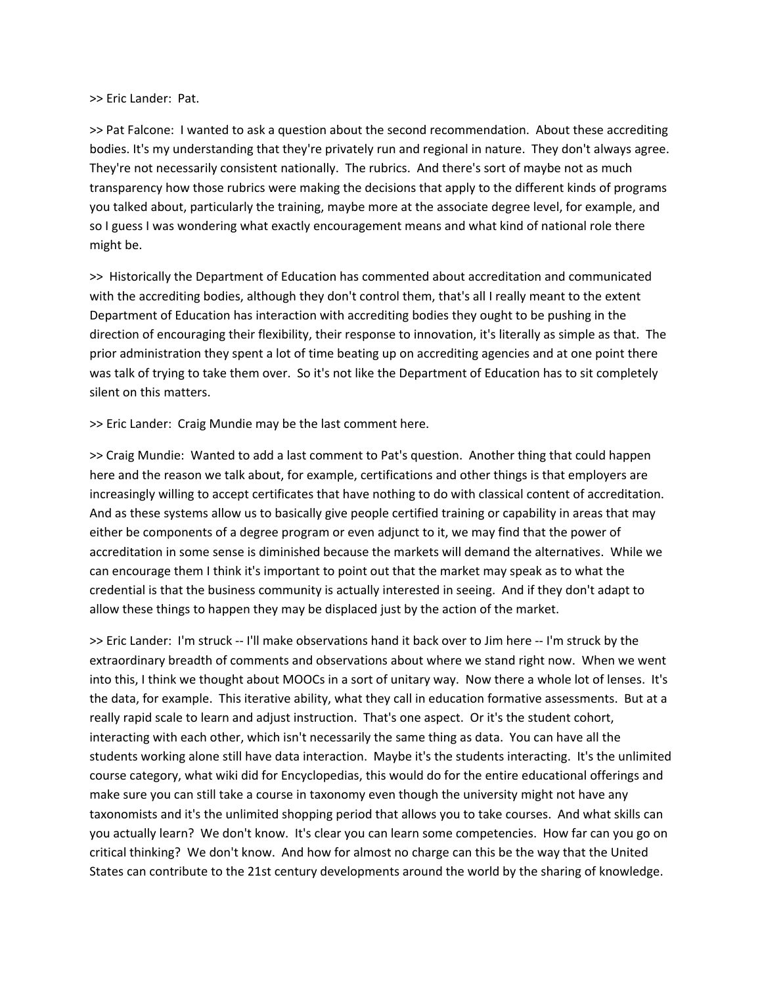#### >> Eric Lander: Pat.

>> Pat Falcone: I wanted to ask a question about the second recommendation. About these accrediting bodies. It's my understanding that they're privately run and regional in nature. They don't always agree. They're not necessarily consistent nationally. The rubrics. And there's sort of maybe not as much transparency how those rubrics were making the decisions that apply to the different kinds of programs you talked about, particularly the training, maybe more at the associate degree level, for example, and so I guess I was wondering what exactly encouragement means and what kind of national role there might be.

>> Historically the Department of Education has commented about accreditation and communicated with the accrediting bodies, although they don't control them, that's all I really meant to the extent Department of Education has interaction with accrediting bodies they ought to be pushing in the direction of encouraging their flexibility, their response to innovation, it's literally as simple as that. The prior administration they spent a lot of time beating up on accrediting agencies and at one point there was talk of trying to take them over. So it's not like the Department of Education has to sit completely silent on this matters.

>> Eric Lander: Craig Mundie may be the last comment here.

>> Craig Mundie: Wanted to add a last comment to Pat's question. Another thing that could happen here and the reason we talk about, for example, certifications and other things is that employers are increasingly willing to accept certificates that have nothing to do with classical content of accreditation. And as these systems allow us to basically give people certified training or capability in areas that may either be components of a degree program or even adjunct to it, we may find that the power of accreditation in some sense is diminished because the markets will demand the alternatives. While we can encourage them I think it's important to point out that the market may speak as to what the credential is that the business community is actually interested in seeing. And if they don't adapt to allow these things to happen they may be displaced just by the action of the market.

>> Eric Lander: I'm struck ‐‐ I'll make observations hand it back over to Jim here ‐‐ I'm struck by the extraordinary breadth of comments and observations about where we stand right now. When we went into this, I think we thought about MOOCs in a sort of unitary way. Now there a whole lot of lenses. It's the data, for example. This iterative ability, what they call in education formative assessments. But at a really rapid scale to learn and adjust instruction. That's one aspect. Or it's the student cohort, interacting with each other, which isn't necessarily the same thing as data. You can have all the students working alone still have data interaction. Maybe it's the students interacting. It's the unlimited course category, what wiki did for Encyclopedias, this would do for the entire educational offerings and make sure you can still take a course in taxonomy even though the university might not have any taxonomists and it's the unlimited shopping period that allows you to take courses. And what skills can you actually learn? We don't know. It's clear you can learn some competencies. How far can you go on critical thinking? We don't know. And how for almost no charge can this be the way that the United States can contribute to the 21st century developments around the world by the sharing of knowledge.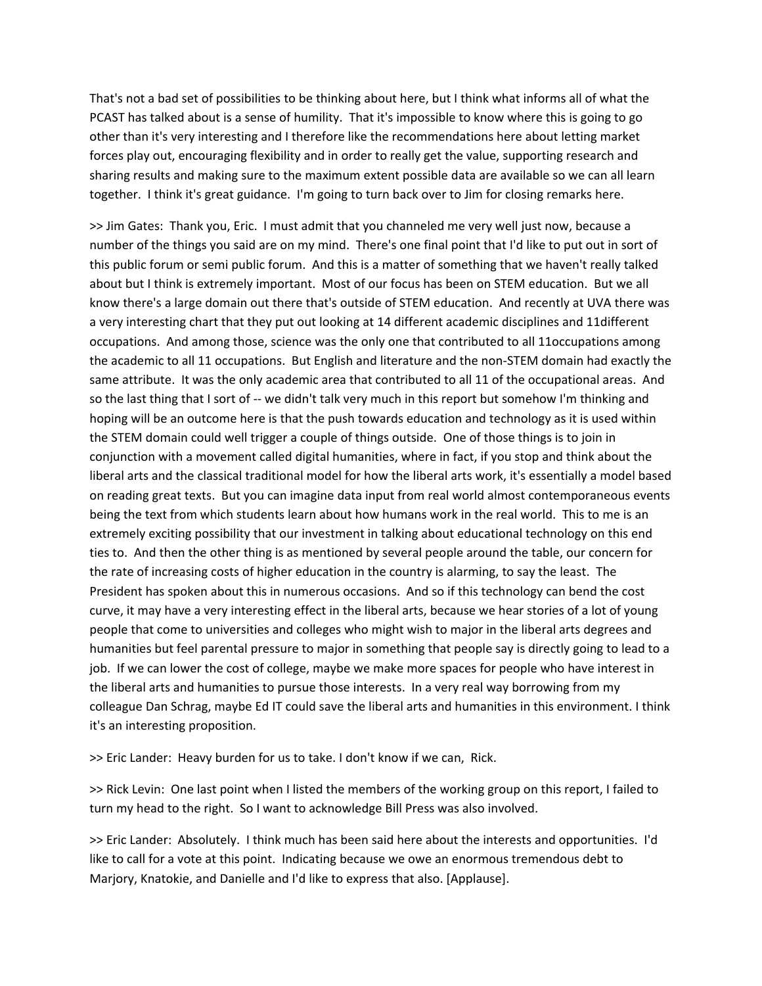That's not a bad set of possibilities to be thinking about here, but I think what informs all of what the PCAST has talked about is a sense of humility. That it's impossible to know where this is going to go other than it's very interesting and I therefore like the recommendations here about letting market forces play out, encouraging flexibility and in order to really get the value, supporting research and sharing results and making sure to the maximum extent possible data are available so we can all learn together. I think it's great guidance. I'm going to turn back over to Jim for closing remarks here.

>> Jim Gates: Thank you, Eric. I must admit that you channeled me very well just now, because a number of the things you said are on my mind. There's one final point that I'd like to put out in sort of this public forum or semi public forum. And this is a matter of something that we haven't really talked about but I think is extremely important. Most of our focus has been on STEM education. But we all know there's a large domain out there that's outside of STEM education. And recently at UVA there was a very interesting chart that they put out looking at 14 different academic disciplines and 11different occupations. And among those, science was the only one that contributed to all 11occupations among the academic to all 11 occupations. But English and literature and the non‐STEM domain had exactly the same attribute. It was the only academic area that contributed to all 11 of the occupational areas. And so the last thing that I sort of -- we didn't talk very much in this report but somehow I'm thinking and hoping will be an outcome here is that the push towards education and technology as it is used within the STEM domain could well trigger a couple of things outside. One of those things is to join in conjunction with a movement called digital humanities, where in fact, if you stop and think about the liberal arts and the classical traditional model for how the liberal arts work, it's essentially a model based on reading great texts. But you can imagine data input from real world almost contemporaneous events being the text from which students learn about how humans work in the real world. This to me is an extremely exciting possibility that our investment in talking about educational technology on this end ties to. And then the other thing is as mentioned by several people around the table, our concern for the rate of increasing costs of higher education in the country is alarming, to say the least. The President has spoken about this in numerous occasions. And so if this technology can bend the cost curve, it may have a very interesting effect in the liberal arts, because we hear stories of a lot of young people that come to universities and colleges who might wish to major in the liberal arts degrees and humanities but feel parental pressure to major in something that people say is directly going to lead to a job. If we can lower the cost of college, maybe we make more spaces for people who have interest in the liberal arts and humanities to pursue those interests. In a very real way borrowing from my colleague Dan Schrag, maybe Ed IT could save the liberal arts and humanities in this environment. I think it's an interesting proposition.

>> Eric Lander: Heavy burden for us to take. I don't know if we can, Rick.

>> Rick Levin: One last point when I listed the members of the working group on this report, I failed to turn my head to the right. So I want to acknowledge Bill Press was also involved.

>> Eric Lander: Absolutely. I think much has been said here about the interests and opportunities. I'd like to call for a vote at this point. Indicating because we owe an enormous tremendous debt to Marjory, Knatokie, and Danielle and I'd like to express that also. [Applause].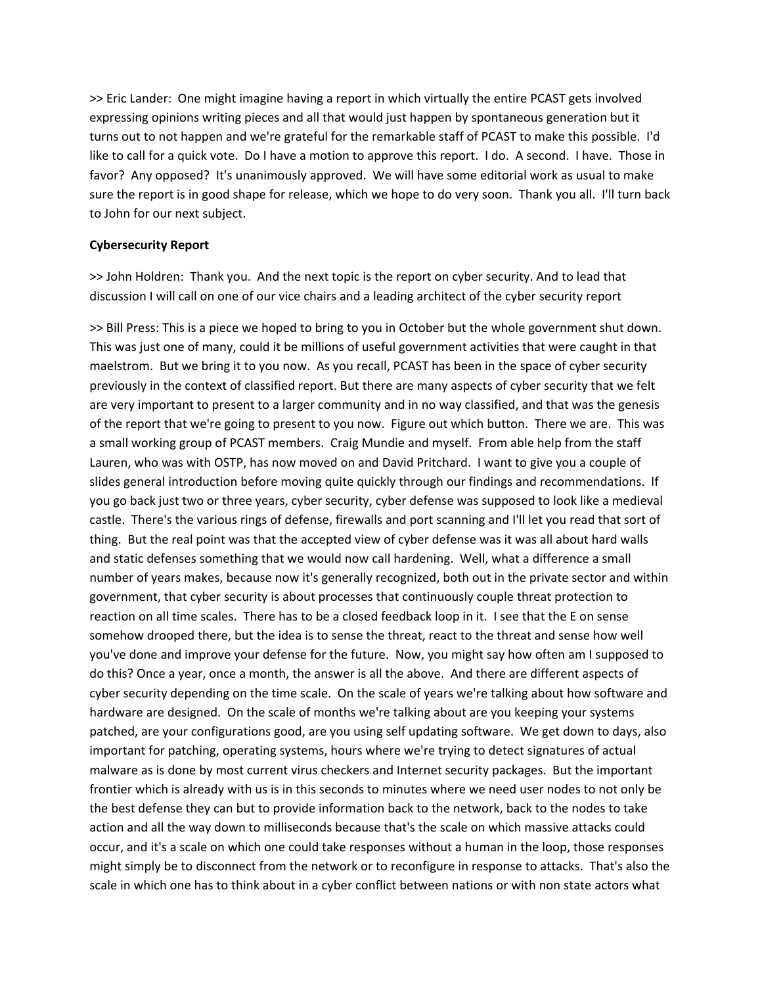>> Eric Lander: One might imagine having a report in which virtually the entire PCAST gets involved expressing opinions writing pieces and all that would just happen by spontaneous generation but it turns out to not happen and we're grateful for the remarkable staff of PCAST to make this possible. I'd like to call for a quick vote. Do I have a motion to approve this report. I do. A second. I have. Those in favor? Any opposed? It's unanimously approved. We will have some editorial work as usual to make sure the report is in good shape for release, which we hope to do very soon. Thank you all. I'll turn back to John for our next subject.

# **Cybersecurity Report**

>> John Holdren: Thank you. And the next topic is the report on cyber security. And to lead that discussion I will call on one of our vice chairs and a leading architect of the cyber security report

>> Bill Press: This is a piece we hoped to bring to you in October but the whole government shut down. This was just one of many, could it be millions of useful government activities that were caught in that maelstrom. But we bring it to you now. As you recall, PCAST has been in the space of cyber security previously in the context of classified report. But there are many aspects of cyber security that we felt are very important to present to a larger community and in no way classified, and that was the genesis of the report that we're going to present to you now. Figure out which button. There we are. This was a small working group of PCAST members. Craig Mundie and myself. From able help from the staff Lauren, who was with OSTP, has now moved on and David Pritchard. I want to give you a couple of slides general introduction before moving quite quickly through our findings and recommendations. If you go back just two or three years, cyber security, cyber defense was supposed to look like a medieval castle. There's the various rings of defense, firewalls and port scanning and I'll let you read that sort of thing. But the real point was that the accepted view of cyber defense was it was all about hard walls and static defenses something that we would now call hardening. Well, what a difference a small number of years makes, because now it's generally recognized, both out in the private sector and within government, that cyber security is about processes that continuously couple threat protection to reaction on all time scales. There has to be a closed feedback loop in it. I see that the E on sense somehow drooped there, but the idea is to sense the threat, react to the threat and sense how well you've done and improve your defense for the future. Now, you might say how often am I supposed to do this? Once a year, once a month, the answer is all the above. And there are different aspects of cyber security depending on the time scale. On the scale of years we're talking about how software and hardware are designed. On the scale of months we're talking about are you keeping your systems patched, are your configurations good, are you using self updating software. We get down to days, also important for patching, operating systems, hours where we're trying to detect signatures of actual malware as is done by most current virus checkers and Internet security packages. But the important frontier which is already with us is in this seconds to minutes where we need user nodes to not only be the best defense they can but to provide information back to the network, back to the nodes to take action and all the way down to milliseconds because that's the scale on which massive attacks could occur, and it's a scale on which one could take responses without a human in the loop, those responses might simply be to disconnect from the network or to reconfigure in response to attacks. That's also the scale in which one has to think about in a cyber conflict between nations or with non state actors what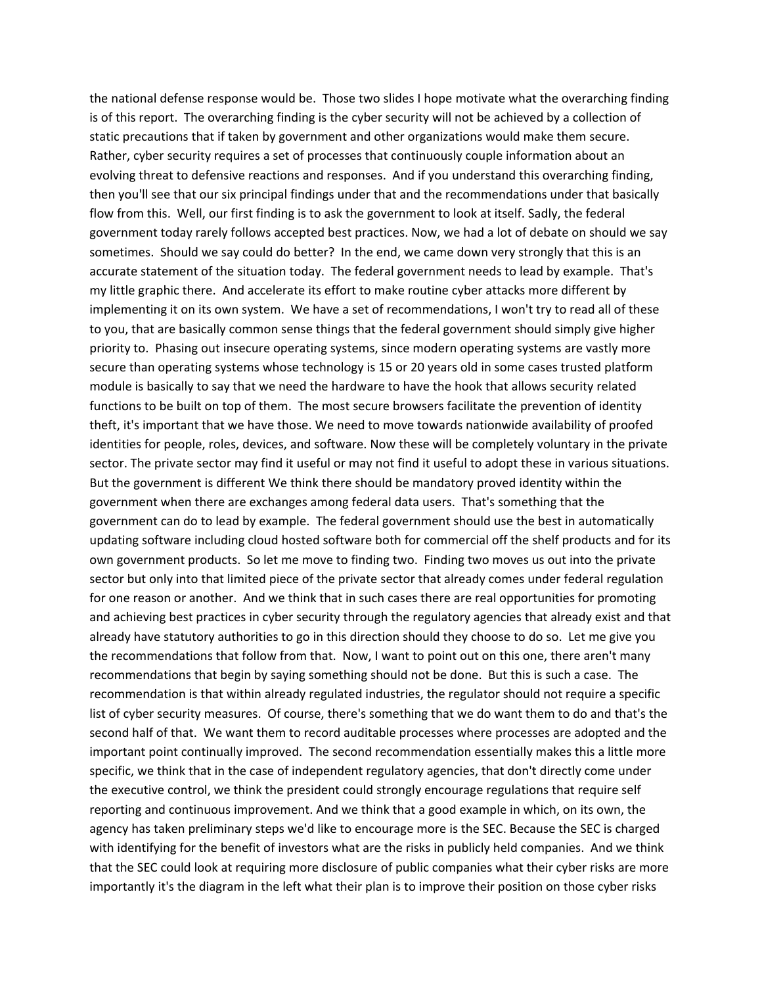the national defense response would be. Those two slides I hope motivate what the overarching finding is of this report. The overarching finding is the cyber security will not be achieved by a collection of static precautions that if taken by government and other organizations would make them secure. Rather, cyber security requires a set of processes that continuously couple information about an evolving threat to defensive reactions and responses. And if you understand this overarching finding, then you'll see that our six principal findings under that and the recommendations under that basically flow from this. Well, our first finding is to ask the government to look at itself. Sadly, the federal government today rarely follows accepted best practices. Now, we had a lot of debate on should we say sometimes. Should we say could do better? In the end, we came down very strongly that this is an accurate statement of the situation today. The federal government needs to lead by example. That's my little graphic there. And accelerate its effort to make routine cyber attacks more different by implementing it on its own system. We have a set of recommendations, I won't try to read all of these to you, that are basically common sense things that the federal government should simply give higher priority to. Phasing out insecure operating systems, since modern operating systems are vastly more secure than operating systems whose technology is 15 or 20 years old in some cases trusted platform module is basically to say that we need the hardware to have the hook that allows security related functions to be built on top of them. The most secure browsers facilitate the prevention of identity theft, it's important that we have those. We need to move towards nationwide availability of proofed identities for people, roles, devices, and software. Now these will be completely voluntary in the private sector. The private sector may find it useful or may not find it useful to adopt these in various situations. But the government is different We think there should be mandatory proved identity within the government when there are exchanges among federal data users. That's something that the government can do to lead by example. The federal government should use the best in automatically updating software including cloud hosted software both for commercial off the shelf products and for its own government products. So let me move to finding two. Finding two moves us out into the private sector but only into that limited piece of the private sector that already comes under federal regulation for one reason or another. And we think that in such cases there are real opportunities for promoting and achieving best practices in cyber security through the regulatory agencies that already exist and that already have statutory authorities to go in this direction should they choose to do so. Let me give you the recommendations that follow from that. Now, I want to point out on this one, there aren't many recommendations that begin by saying something should not be done. But this is such a case. The recommendation is that within already regulated industries, the regulator should not require a specific list of cyber security measures. Of course, there's something that we do want them to do and that's the second half of that. We want them to record auditable processes where processes are adopted and the important point continually improved. The second recommendation essentially makes this a little more specific, we think that in the case of independent regulatory agencies, that don't directly come under the executive control, we think the president could strongly encourage regulations that require self reporting and continuous improvement. And we think that a good example in which, on its own, the agency has taken preliminary steps we'd like to encourage more is the SEC. Because the SEC is charged with identifying for the benefit of investors what are the risks in publicly held companies. And we think that the SEC could look at requiring more disclosure of public companies what their cyber risks are more importantly it's the diagram in the left what their plan is to improve their position on those cyber risks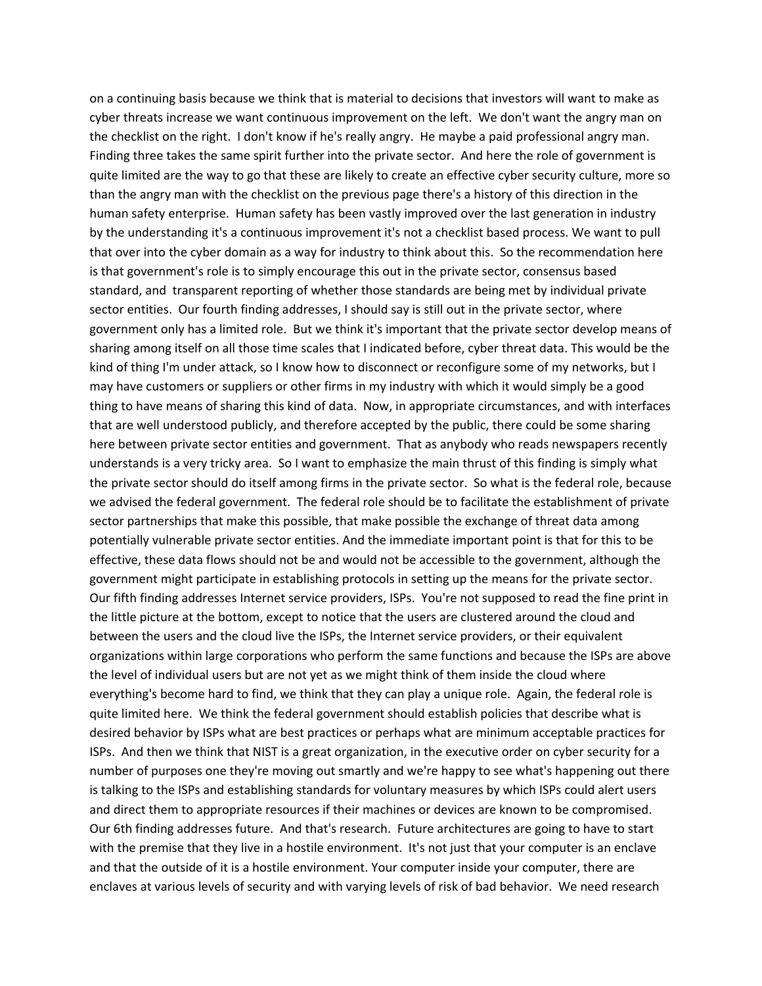on a continuing basis because we think that is material to decisions that investors will want to make as cyber threats increase we want continuous improvement on the left. We don't want the angry man on the checklist on the right. I don't know if he's really angry. He maybe a paid professional angry man. Finding three takes the same spirit further into the private sector. And here the role of government is quite limited are the way to go that these are likely to create an effective cyber security culture, more so than the angry man with the checklist on the previous page there's a history of this direction in the human safety enterprise. Human safety has been vastly improved over the last generation in industry by the understanding it's a continuous improvement it's not a checklist based process. We want to pull that over into the cyber domain as a way for industry to think about this. So the recommendation here is that government's role is to simply encourage this out in the private sector, consensus based standard, and transparent reporting of whether those standards are being met by individual private sector entities. Our fourth finding addresses, I should say is still out in the private sector, where government only has a limited role. But we think it's important that the private sector develop means of sharing among itself on all those time scales that I indicated before, cyber threat data. This would be the kind of thing I'm under attack, so I know how to disconnect or reconfigure some of my networks, but I may have customers or suppliers or other firms in my industry with which it would simply be a good thing to have means of sharing this kind of data. Now, in appropriate circumstances, and with interfaces that are well understood publicly, and therefore accepted by the public, there could be some sharing here between private sector entities and government. That as anybody who reads newspapers recently understands is a very tricky area. So I want to emphasize the main thrust of this finding is simply what the private sector should do itself among firms in the private sector. So what is the federal role, because we advised the federal government. The federal role should be to facilitate the establishment of private sector partnerships that make this possible, that make possible the exchange of threat data among potentially vulnerable private sector entities. And the immediate important point is that for this to be effective, these data flows should not be and would not be accessible to the government, although the government might participate in establishing protocols in setting up the means for the private sector. Our fifth finding addresses Internet service providers, ISPs. You're not supposed to read the fine print in the little picture at the bottom, except to notice that the users are clustered around the cloud and between the users and the cloud live the ISPs, the Internet service providers, or their equivalent organizations within large corporations who perform the same functions and because the ISPs are above the level of individual users but are not yet as we might think of them inside the cloud where everything's become hard to find, we think that they can play a unique role. Again, the federal role is quite limited here. We think the federal government should establish policies that describe what is desired behavior by ISPs what are best practices or perhaps what are minimum acceptable practices for ISPs. And then we think that NIST is a great organization, in the executive order on cyber security for a number of purposes one they're moving out smartly and we're happy to see what's happening out there is talking to the ISPs and establishing standards for voluntary measures by which ISPs could alert users and direct them to appropriate resources if their machines or devices are known to be compromised. Our 6th finding addresses future. And that's research. Future architectures are going to have to start with the premise that they live in a hostile environment. It's not just that your computer is an enclave and that the outside of it is a hostile environment. Your computer inside your computer, there are enclaves at various levels of security and with varying levels of risk of bad behavior. We need research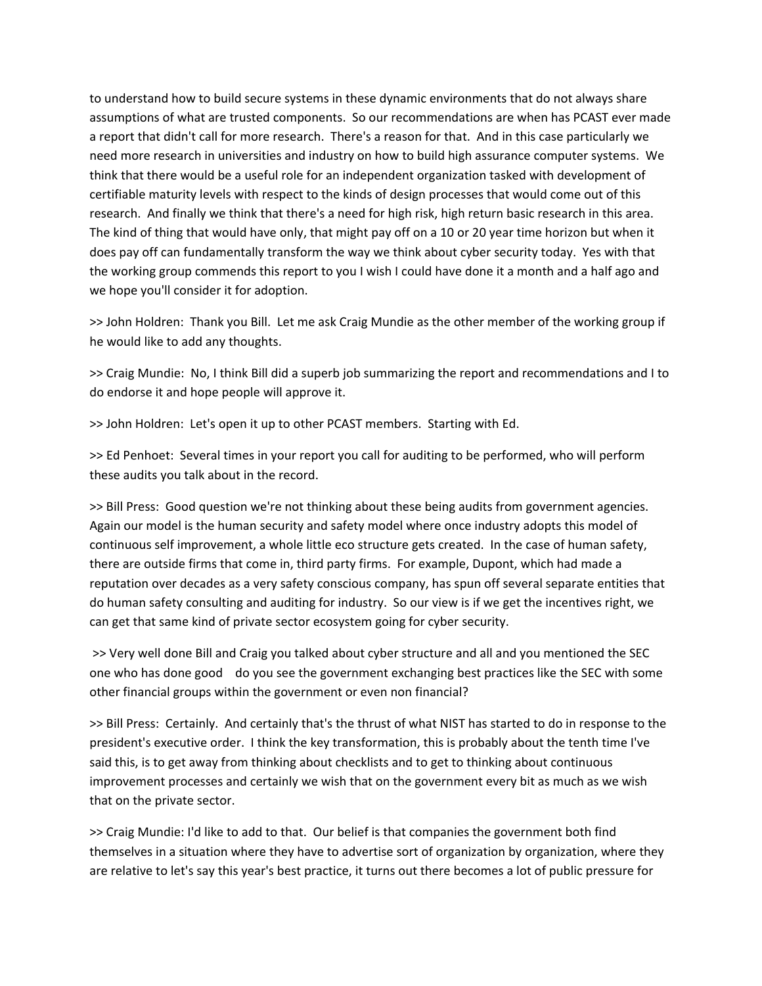to understand how to build secure systems in these dynamic environments that do not always share assumptions of what are trusted components. So our recommendations are when has PCAST ever made a report that didn't call for more research. There's a reason for that. And in this case particularly we need more research in universities and industry on how to build high assurance computer systems. We think that there would be a useful role for an independent organization tasked with development of certifiable maturity levels with respect to the kinds of design processes that would come out of this research. And finally we think that there's a need for high risk, high return basic research in this area. The kind of thing that would have only, that might pay off on a 10 or 20 year time horizon but when it does pay off can fundamentally transform the way we think about cyber security today. Yes with that the working group commends this report to you I wish I could have done it a month and a half ago and we hope you'll consider it for adoption.

>> John Holdren: Thank you Bill. Let me ask Craig Mundie as the other member of the working group if he would like to add any thoughts.

>> Craig Mundie: No, I think Bill did a superb job summarizing the report and recommendations and I to do endorse it and hope people will approve it.

>> John Holdren: Let's open it up to other PCAST members. Starting with Ed.

>> Ed Penhoet: Several times in your report you call for auditing to be performed, who will perform these audits you talk about in the record.

>> Bill Press: Good question we're not thinking about these being audits from government agencies. Again our model is the human security and safety model where once industry adopts this model of continuous self improvement, a whole little eco structure gets created. In the case of human safety, there are outside firms that come in, third party firms. For example, Dupont, which had made a reputation over decades as a very safety conscious company, has spun off several separate entities that do human safety consulting and auditing for industry. So our view is if we get the incentives right, we can get that same kind of private sector ecosystem going for cyber security.

>> Very well done Bill and Craig you talked about cyber structure and all and you mentioned the SEC one who has done good do you see the government exchanging best practices like the SEC with some other financial groups within the government or even non financial?

>> Bill Press: Certainly. And certainly that's the thrust of what NIST has started to do in response to the president's executive order. I think the key transformation, this is probably about the tenth time I've said this, is to get away from thinking about checklists and to get to thinking about continuous improvement processes and certainly we wish that on the government every bit as much as we wish that on the private sector.

>> Craig Mundie: I'd like to add to that. Our belief is that companies the government both find themselves in a situation where they have to advertise sort of organization by organization, where they are relative to let's say this year's best practice, it turns out there becomes a lot of public pressure for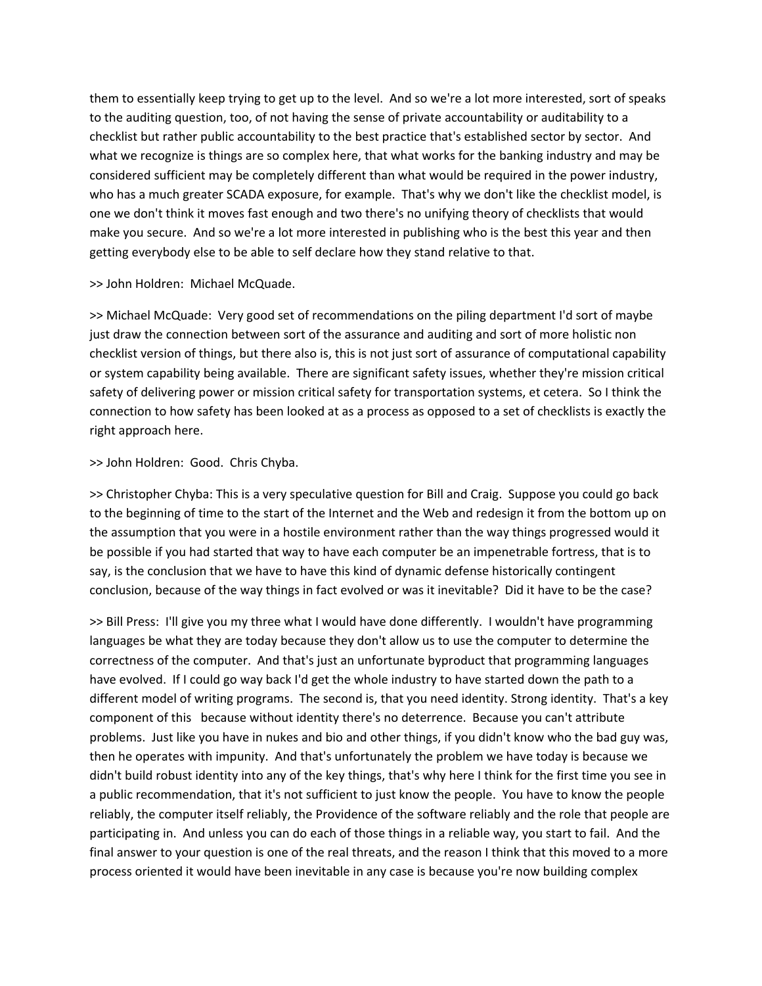them to essentially keep trying to get up to the level. And so we're a lot more interested, sort of speaks to the auditing question, too, of not having the sense of private accountability or auditability to a checklist but rather public accountability to the best practice that's established sector by sector. And what we recognize is things are so complex here, that what works for the banking industry and may be considered sufficient may be completely different than what would be required in the power industry, who has a much greater SCADA exposure, for example. That's why we don't like the checklist model, is one we don't think it moves fast enough and two there's no unifying theory of checklists that would make you secure. And so we're a lot more interested in publishing who is the best this year and then getting everybody else to be able to self declare how they stand relative to that.

#### >> John Holdren: Michael McQuade.

>> Michael McQuade: Very good set of recommendations on the piling department I'd sort of maybe just draw the connection between sort of the assurance and auditing and sort of more holistic non checklist version of things, but there also is, this is not just sort of assurance of computational capability or system capability being available. There are significant safety issues, whether they're mission critical safety of delivering power or mission critical safety for transportation systems, et cetera. So I think the connection to how safety has been looked at as a process as opposed to a set of checklists is exactly the right approach here.

## >> John Holdren: Good. Chris Chyba.

>> Christopher Chyba: This is a very speculative question for Bill and Craig. Suppose you could go back to the beginning of time to the start of the Internet and the Web and redesign it from the bottom up on the assumption that you were in a hostile environment rather than the way things progressed would it be possible if you had started that way to have each computer be an impenetrable fortress, that is to say, is the conclusion that we have to have this kind of dynamic defense historically contingent conclusion, because of the way things in fact evolved or was it inevitable? Did it have to be the case?

>> Bill Press: I'll give you my three what I would have done differently. I wouldn't have programming languages be what they are today because they don't allow us to use the computer to determine the correctness of the computer. And that's just an unfortunate byproduct that programming languages have evolved. If I could go way back I'd get the whole industry to have started down the path to a different model of writing programs. The second is, that you need identity. Strong identity. That's a key component of this because without identity there's no deterrence. Because you can't attribute problems. Just like you have in nukes and bio and other things, if you didn't know who the bad guy was, then he operates with impunity. And that's unfortunately the problem we have today is because we didn't build robust identity into any of the key things, that's why here I think for the first time you see in a public recommendation, that it's not sufficient to just know the people. You have to know the people reliably, the computer itself reliably, the Providence of the software reliably and the role that people are participating in. And unless you can do each of those things in a reliable way, you start to fail. And the final answer to your question is one of the real threats, and the reason I think that this moved to a more process oriented it would have been inevitable in any case is because you're now building complex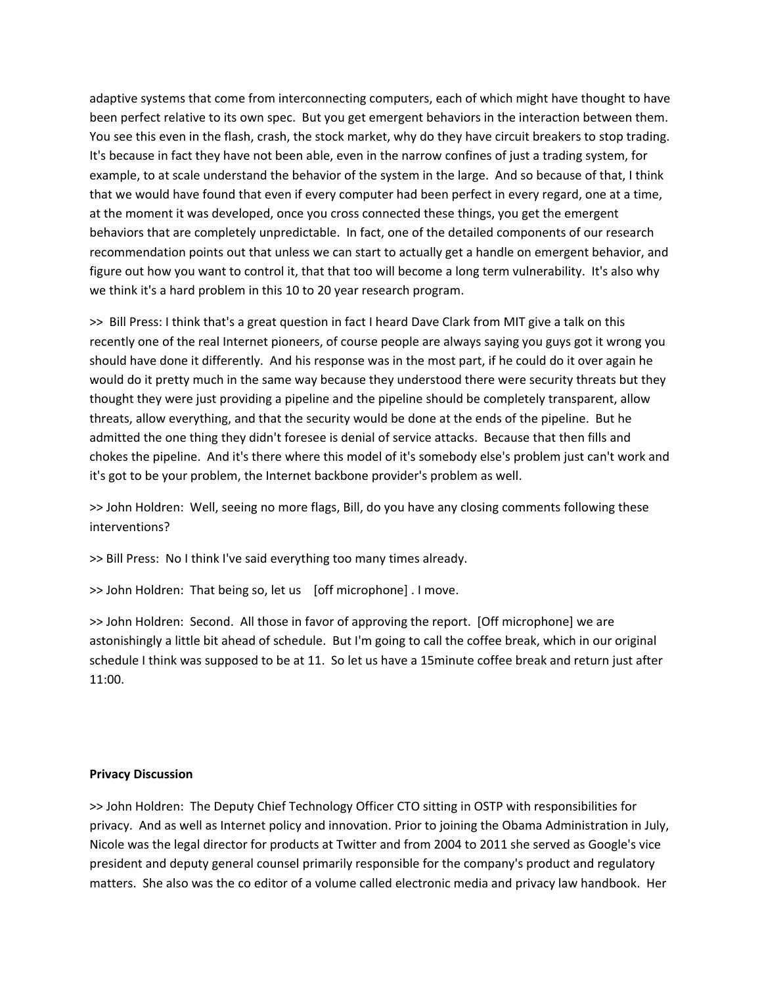adaptive systems that come from interconnecting computers, each of which might have thought to have been perfect relative to its own spec. But you get emergent behaviors in the interaction between them. You see this even in the flash, crash, the stock market, why do they have circuit breakers to stop trading. It's because in fact they have not been able, even in the narrow confines of just a trading system, for example, to at scale understand the behavior of the system in the large. And so because of that, I think that we would have found that even if every computer had been perfect in every regard, one at a time, at the moment it was developed, once you cross connected these things, you get the emergent behaviors that are completely unpredictable. In fact, one of the detailed components of our research recommendation points out that unless we can start to actually get a handle on emergent behavior, and figure out how you want to control it, that that too will become a long term vulnerability. It's also why we think it's a hard problem in this 10 to 20 year research program.

>> Bill Press: I think that's a great question in fact I heard Dave Clark from MIT give a talk on this recently one of the real Internet pioneers, of course people are always saying you guys got it wrong you should have done it differently. And his response was in the most part, if he could do it over again he would do it pretty much in the same way because they understood there were security threats but they thought they were just providing a pipeline and the pipeline should be completely transparent, allow threats, allow everything, and that the security would be done at the ends of the pipeline. But he admitted the one thing they didn't foresee is denial of service attacks. Because that then fills and chokes the pipeline. And it's there where this model of it's somebody else's problem just can't work and it's got to be your problem, the Internet backbone provider's problem as well.

>> John Holdren: Well, seeing no more flags, Bill, do you have any closing comments following these interventions?

>> Bill Press: No I think I've said everything too many times already.

>> John Holdren: That being so, let us [off microphone]. I move.

>> John Holdren: Second. All those in favor of approving the report. [Off microphone] we are astonishingly a little bit ahead of schedule. But I'm going to call the coffee break, which in our original schedule I think was supposed to be at 11. So let us have a 15minute coffee break and return just after 11:00.

# **Privacy Discussion**

>> John Holdren: The Deputy Chief Technology Officer CTO sitting in OSTP with responsibilities for privacy. And as well as Internet policy and innovation. Prior to joining the Obama Administration in July, Nicole was the legal director for products at Twitter and from 2004 to 2011 she served as Google's vice president and deputy general counsel primarily responsible for the company's product and regulatory matters. She also was the co editor of a volume called electronic media and privacy law handbook. Her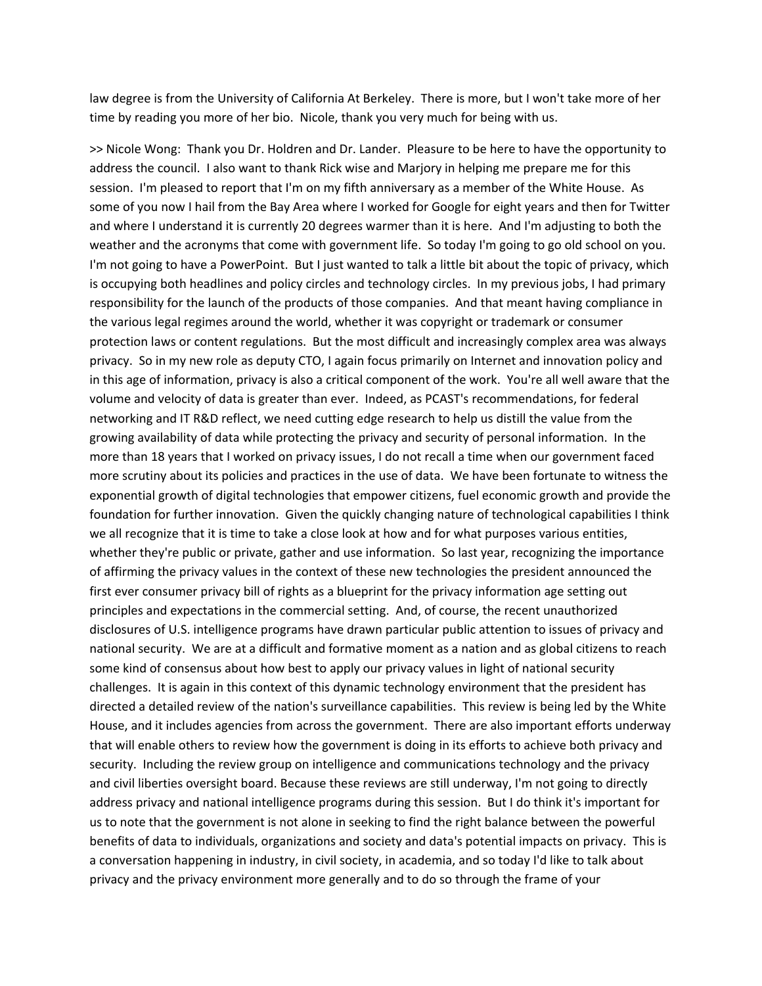law degree is from the University of California At Berkeley. There is more, but I won't take more of her time by reading you more of her bio. Nicole, thank you very much for being with us.

>> Nicole Wong: Thank you Dr. Holdren and Dr. Lander. Pleasure to be here to have the opportunity to address the council. I also want to thank Rick wise and Marjory in helping me prepare me for this session. I'm pleased to report that I'm on my fifth anniversary as a member of the White House. As some of you now I hail from the Bay Area where I worked for Google for eight years and then for Twitter and where I understand it is currently 20 degrees warmer than it is here. And I'm adjusting to both the weather and the acronyms that come with government life. So today I'm going to go old school on you. I'm not going to have a PowerPoint. But I just wanted to talk a little bit about the topic of privacy, which is occupying both headlines and policy circles and technology circles. In my previous jobs, I had primary responsibility for the launch of the products of those companies. And that meant having compliance in the various legal regimes around the world, whether it was copyright or trademark or consumer protection laws or content regulations. But the most difficult and increasingly complex area was always privacy. So in my new role as deputy CTO, I again focus primarily on Internet and innovation policy and in this age of information, privacy is also a critical component of the work. You're all well aware that the volume and velocity of data is greater than ever. Indeed, as PCAST's recommendations, for federal networking and IT R&D reflect, we need cutting edge research to help us distill the value from the growing availability of data while protecting the privacy and security of personal information. In the more than 18 years that I worked on privacy issues, I do not recall a time when our government faced more scrutiny about its policies and practices in the use of data. We have been fortunate to witness the exponential growth of digital technologies that empower citizens, fuel economic growth and provide the foundation for further innovation. Given the quickly changing nature of technological capabilities I think we all recognize that it is time to take a close look at how and for what purposes various entities, whether they're public or private, gather and use information. So last year, recognizing the importance of affirming the privacy values in the context of these new technologies the president announced the first ever consumer privacy bill of rights as a blueprint for the privacy information age setting out principles and expectations in the commercial setting. And, of course, the recent unauthorized disclosures of U.S. intelligence programs have drawn particular public attention to issues of privacy and national security. We are at a difficult and formative moment as a nation and as global citizens to reach some kind of consensus about how best to apply our privacy values in light of national security challenges. It is again in this context of this dynamic technology environment that the president has directed a detailed review of the nation's surveillance capabilities. This review is being led by the White House, and it includes agencies from across the government. There are also important efforts underway that will enable others to review how the government is doing in its efforts to achieve both privacy and security. Including the review group on intelligence and communications technology and the privacy and civil liberties oversight board. Because these reviews are still underway, I'm not going to directly address privacy and national intelligence programs during this session. But I do think it's important for us to note that the government is not alone in seeking to find the right balance between the powerful benefits of data to individuals, organizations and society and data's potential impacts on privacy. This is a conversation happening in industry, in civil society, in academia, and so today I'd like to talk about privacy and the privacy environment more generally and to do so through the frame of your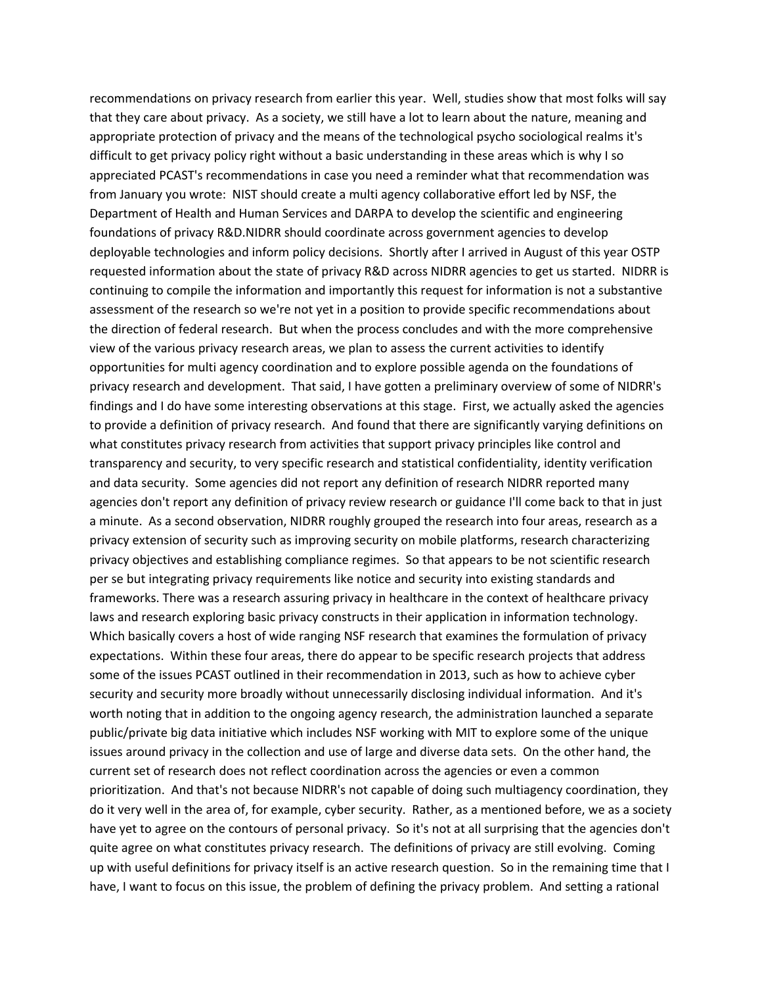recommendations on privacy research from earlier this year. Well, studies show that most folks will say that they care about privacy. As a society, we still have a lot to learn about the nature, meaning and appropriate protection of privacy and the means of the technological psycho sociological realms it's difficult to get privacy policy right without a basic understanding in these areas which is why I so appreciated PCAST's recommendations in case you need a reminder what that recommendation was from January you wrote: NIST should create a multi agency collaborative effort led by NSF, the Department of Health and Human Services and DARPA to develop the scientific and engineering foundations of privacy R&D.NIDRR should coordinate across government agencies to develop deployable technologies and inform policy decisions. Shortly after I arrived in August of this year OSTP requested information about the state of privacy R&D across NIDRR agencies to get us started. NIDRR is continuing to compile the information and importantly this request for information is not a substantive assessment of the research so we're not yet in a position to provide specific recommendations about the direction of federal research. But when the process concludes and with the more comprehensive view of the various privacy research areas, we plan to assess the current activities to identify opportunities for multi agency coordination and to explore possible agenda on the foundations of privacy research and development. That said, I have gotten a preliminary overview of some of NIDRR's findings and I do have some interesting observations at this stage. First, we actually asked the agencies to provide a definition of privacy research. And found that there are significantly varying definitions on what constitutes privacy research from activities that support privacy principles like control and transparency and security, to very specific research and statistical confidentiality, identity verification and data security. Some agencies did not report any definition of research NIDRR reported many agencies don't report any definition of privacy review research or guidance I'll come back to that in just a minute. As a second observation, NIDRR roughly grouped the research into four areas, research as a privacy extension of security such as improving security on mobile platforms, research characterizing privacy objectives and establishing compliance regimes. So that appears to be not scientific research per se but integrating privacy requirements like notice and security into existing standards and frameworks. There was a research assuring privacy in healthcare in the context of healthcare privacy laws and research exploring basic privacy constructs in their application in information technology. Which basically covers a host of wide ranging NSF research that examines the formulation of privacy expectations. Within these four areas, there do appear to be specific research projects that address some of the issues PCAST outlined in their recommendation in 2013, such as how to achieve cyber security and security more broadly without unnecessarily disclosing individual information. And it's worth noting that in addition to the ongoing agency research, the administration launched a separate public/private big data initiative which includes NSF working with MIT to explore some of the unique issues around privacy in the collection and use of large and diverse data sets. On the other hand, the current set of research does not reflect coordination across the agencies or even a common prioritization. And that's not because NIDRR's not capable of doing such multiagency coordination, they do it very well in the area of, for example, cyber security. Rather, as a mentioned before, we as a society have yet to agree on the contours of personal privacy. So it's not at all surprising that the agencies don't quite agree on what constitutes privacy research. The definitions of privacy are still evolving. Coming up with useful definitions for privacy itself is an active research question. So in the remaining time that I have, I want to focus on this issue, the problem of defining the privacy problem. And setting a rational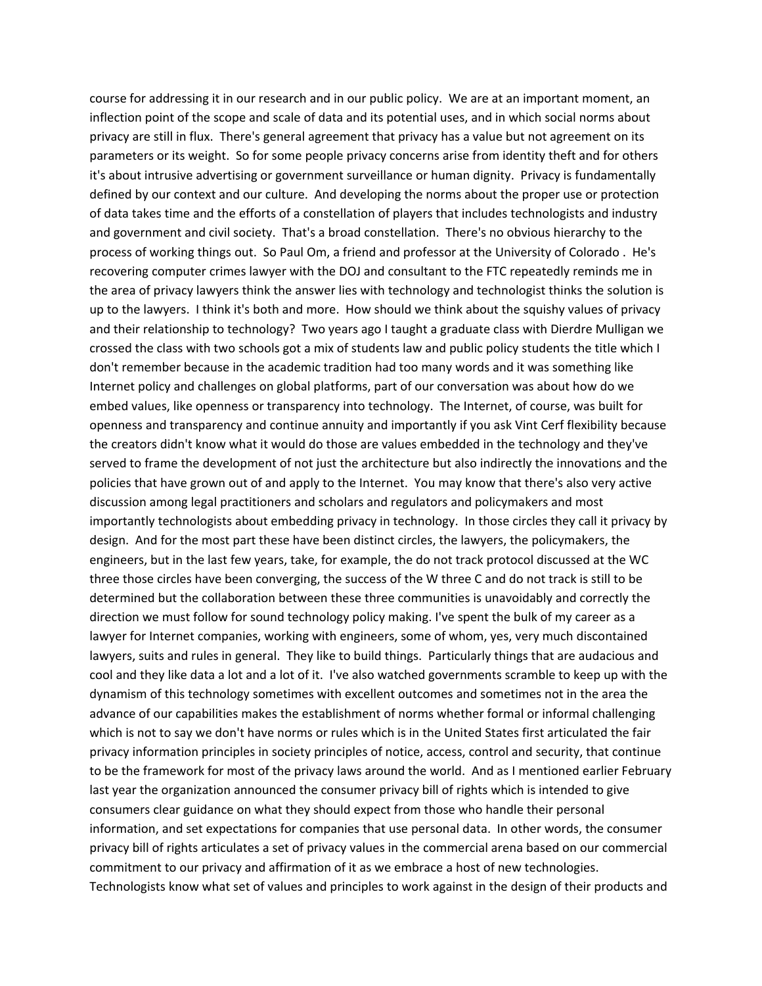course for addressing it in our research and in our public policy. We are at an important moment, an inflection point of the scope and scale of data and its potential uses, and in which social norms about privacy are still in flux. There's general agreement that privacy has a value but not agreement on its parameters or its weight. So for some people privacy concerns arise from identity theft and for others it's about intrusive advertising or government surveillance or human dignity. Privacy is fundamentally defined by our context and our culture. And developing the norms about the proper use or protection of data takes time and the efforts of a constellation of players that includes technologists and industry and government and civil society. That's a broad constellation. There's no obvious hierarchy to the process of working things out. So Paul Om, a friend and professor at the University of Colorado . He's recovering computer crimes lawyer with the DOJ and consultant to the FTC repeatedly reminds me in the area of privacy lawyers think the answer lies with technology and technologist thinks the solution is up to the lawyers. I think it's both and more. How should we think about the squishy values of privacy and their relationship to technology? Two years ago I taught a graduate class with Dierdre Mulligan we crossed the class with two schools got a mix of students law and public policy students the title which I don't remember because in the academic tradition had too many words and it was something like Internet policy and challenges on global platforms, part of our conversation was about how do we embed values, like openness or transparency into technology. The Internet, of course, was built for openness and transparency and continue annuity and importantly if you ask Vint Cerf flexibility because the creators didn't know what it would do those are values embedded in the technology and they've served to frame the development of not just the architecture but also indirectly the innovations and the policies that have grown out of and apply to the Internet. You may know that there's also very active discussion among legal practitioners and scholars and regulators and policymakers and most importantly technologists about embedding privacy in technology. In those circles they call it privacy by design. And for the most part these have been distinct circles, the lawyers, the policymakers, the engineers, but in the last few years, take, for example, the do not track protocol discussed at the WC three those circles have been converging, the success of the W three C and do not track is still to be determined but the collaboration between these three communities is unavoidably and correctly the direction we must follow for sound technology policy making. I've spent the bulk of my career as a lawyer for Internet companies, working with engineers, some of whom, yes, very much discontained lawyers, suits and rules in general. They like to build things. Particularly things that are audacious and cool and they like data a lot and a lot of it. I've also watched governments scramble to keep up with the dynamism of this technology sometimes with excellent outcomes and sometimes not in the area the advance of our capabilities makes the establishment of norms whether formal or informal challenging which is not to say we don't have norms or rules which is in the United States first articulated the fair privacy information principles in society principles of notice, access, control and security, that continue to be the framework for most of the privacy laws around the world. And as I mentioned earlier February last year the organization announced the consumer privacy bill of rights which is intended to give consumers clear guidance on what they should expect from those who handle their personal information, and set expectations for companies that use personal data. In other words, the consumer privacy bill of rights articulates a set of privacy values in the commercial arena based on our commercial commitment to our privacy and affirmation of it as we embrace a host of new technologies. Technologists know what set of values and principles to work against in the design of their products and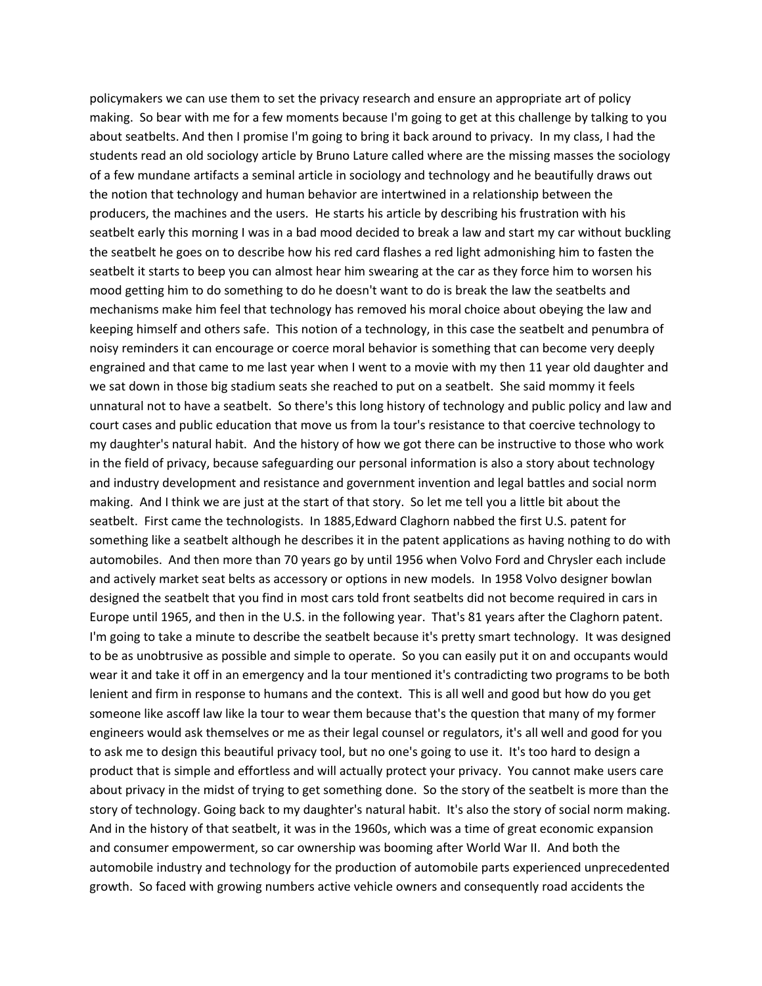policymakers we can use them to set the privacy research and ensure an appropriate art of policy making. So bear with me for a few moments because I'm going to get at this challenge by talking to you about seatbelts. And then I promise I'm going to bring it back around to privacy. In my class, I had the students read an old sociology article by Bruno Lature called where are the missing masses the sociology of a few mundane artifacts a seminal article in sociology and technology and he beautifully draws out the notion that technology and human behavior are intertwined in a relationship between the producers, the machines and the users. He starts his article by describing his frustration with his seatbelt early this morning I was in a bad mood decided to break a law and start my car without buckling the seatbelt he goes on to describe how his red card flashes a red light admonishing him to fasten the seatbelt it starts to beep you can almost hear him swearing at the car as they force him to worsen his mood getting him to do something to do he doesn't want to do is break the law the seatbelts and mechanisms make him feel that technology has removed his moral choice about obeying the law and keeping himself and others safe. This notion of a technology, in this case the seatbelt and penumbra of noisy reminders it can encourage or coerce moral behavior is something that can become very deeply engrained and that came to me last year when I went to a movie with my then 11 year old daughter and we sat down in those big stadium seats she reached to put on a seatbelt. She said mommy it feels unnatural not to have a seatbelt. So there's this long history of technology and public policy and law and court cases and public education that move us from la tour's resistance to that coercive technology to my daughter's natural habit. And the history of how we got there can be instructive to those who work in the field of privacy, because safeguarding our personal information is also a story about technology and industry development and resistance and government invention and legal battles and social norm making. And I think we are just at the start of that story. So let me tell you a little bit about the seatbelt. First came the technologists. In 1885,Edward Claghorn nabbed the first U.S. patent for something like a seatbelt although he describes it in the patent applications as having nothing to do with automobiles. And then more than 70 years go by until 1956 when Volvo Ford and Chrysler each include and actively market seat belts as accessory or options in new models. In 1958 Volvo designer bowlan designed the seatbelt that you find in most cars told front seatbelts did not become required in cars in Europe until 1965, and then in the U.S. in the following year. That's 81 years after the Claghorn patent. I'm going to take a minute to describe the seatbelt because it's pretty smart technology. It was designed to be as unobtrusive as possible and simple to operate. So you can easily put it on and occupants would wear it and take it off in an emergency and la tour mentioned it's contradicting two programs to be both lenient and firm in response to humans and the context. This is all well and good but how do you get someone like ascoff law like la tour to wear them because that's the question that many of my former engineers would ask themselves or me as their legal counsel or regulators, it's all well and good for you to ask me to design this beautiful privacy tool, but no one's going to use it. It's too hard to design a product that is simple and effortless and will actually protect your privacy. You cannot make users care about privacy in the midst of trying to get something done. So the story of the seatbelt is more than the story of technology. Going back to my daughter's natural habit. It's also the story of social norm making. And in the history of that seatbelt, it was in the 1960s, which was a time of great economic expansion and consumer empowerment, so car ownership was booming after World War II. And both the automobile industry and technology for the production of automobile parts experienced unprecedented growth. So faced with growing numbers active vehicle owners and consequently road accidents the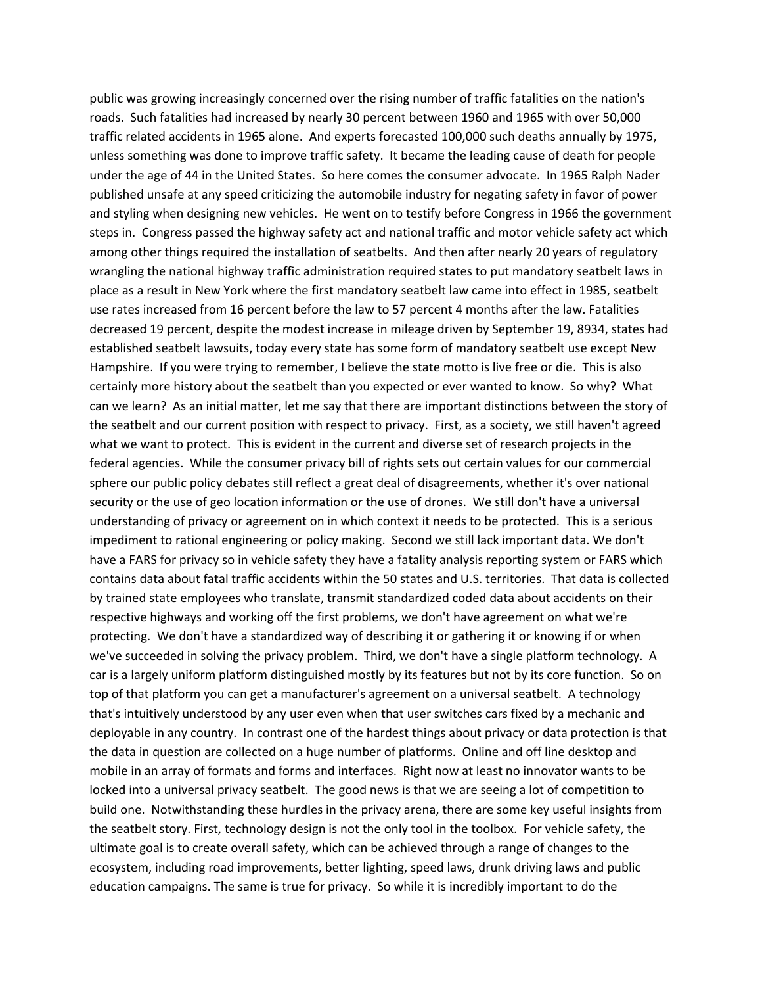public was growing increasingly concerned over the rising number of traffic fatalities on the nation's roads. Such fatalities had increased by nearly 30 percent between 1960 and 1965 with over 50,000 traffic related accidents in 1965 alone. And experts forecasted 100,000 such deaths annually by 1975, unless something was done to improve traffic safety. It became the leading cause of death for people under the age of 44 in the United States. So here comes the consumer advocate. In 1965 Ralph Nader published unsafe at any speed criticizing the automobile industry for negating safety in favor of power and styling when designing new vehicles. He went on to testify before Congress in 1966 the government steps in. Congress passed the highway safety act and national traffic and motor vehicle safety act which among other things required the installation of seatbelts. And then after nearly 20 years of regulatory wrangling the national highway traffic administration required states to put mandatory seatbelt laws in place as a result in New York where the first mandatory seatbelt law came into effect in 1985, seatbelt use rates increased from 16 percent before the law to 57 percent 4 months after the law. Fatalities decreased 19 percent, despite the modest increase in mileage driven by September 19, 8934, states had established seatbelt lawsuits, today every state has some form of mandatory seatbelt use except New Hampshire. If you were trying to remember, I believe the state motto is live free or die. This is also certainly more history about the seatbelt than you expected or ever wanted to know. So why? What can we learn? As an initial matter, let me say that there are important distinctions between the story of the seatbelt and our current position with respect to privacy. First, as a society, we still haven't agreed what we want to protect. This is evident in the current and diverse set of research projects in the federal agencies. While the consumer privacy bill of rights sets out certain values for our commercial sphere our public policy debates still reflect a great deal of disagreements, whether it's over national security or the use of geo location information or the use of drones. We still don't have a universal understanding of privacy or agreement on in which context it needs to be protected. This is a serious impediment to rational engineering or policy making. Second we still lack important data. We don't have a FARS for privacy so in vehicle safety they have a fatality analysis reporting system or FARS which contains data about fatal traffic accidents within the 50 states and U.S. territories. That data is collected by trained state employees who translate, transmit standardized coded data about accidents on their respective highways and working off the first problems, we don't have agreement on what we're protecting. We don't have a standardized way of describing it or gathering it or knowing if or when we've succeeded in solving the privacy problem. Third, we don't have a single platform technology. A car is a largely uniform platform distinguished mostly by its features but not by its core function. So on top of that platform you can get a manufacturer's agreement on a universal seatbelt. A technology that's intuitively understood by any user even when that user switches cars fixed by a mechanic and deployable in any country. In contrast one of the hardest things about privacy or data protection is that the data in question are collected on a huge number of platforms. Online and off line desktop and mobile in an array of formats and forms and interfaces. Right now at least no innovator wants to be locked into a universal privacy seatbelt. The good news is that we are seeing a lot of competition to build one. Notwithstanding these hurdles in the privacy arena, there are some key useful insights from the seatbelt story. First, technology design is not the only tool in the toolbox. For vehicle safety, the ultimate goal is to create overall safety, which can be achieved through a range of changes to the ecosystem, including road improvements, better lighting, speed laws, drunk driving laws and public education campaigns. The same is true for privacy. So while it is incredibly important to do the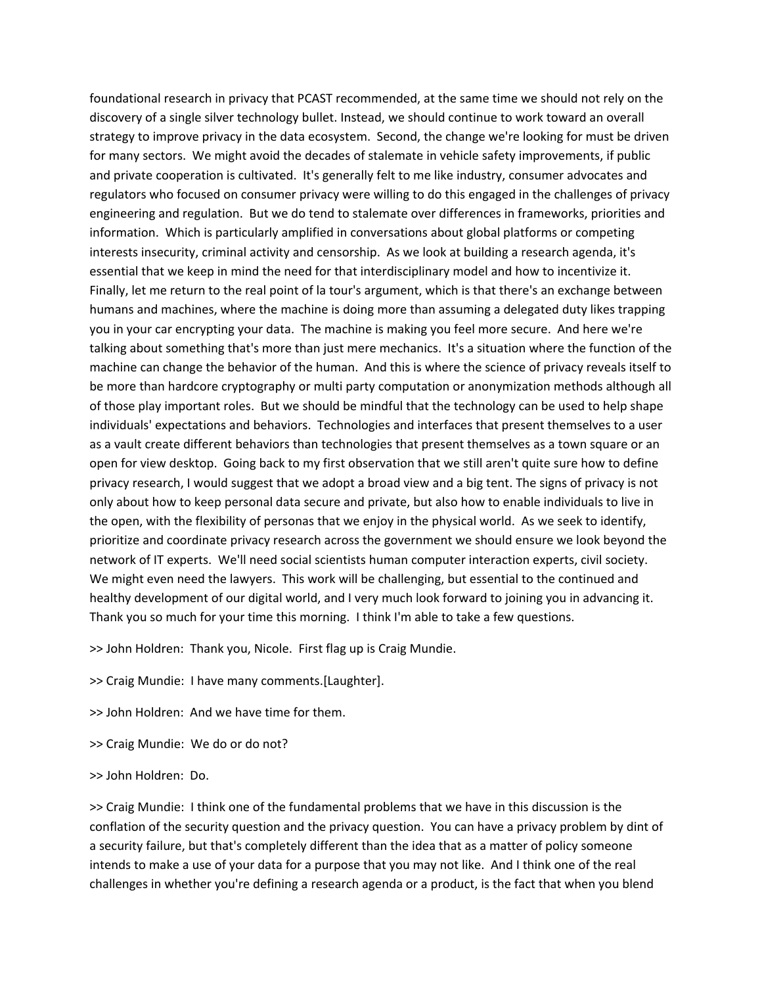foundational research in privacy that PCAST recommended, at the same time we should not rely on the discovery of a single silver technology bullet. Instead, we should continue to work toward an overall strategy to improve privacy in the data ecosystem. Second, the change we're looking for must be driven for many sectors. We might avoid the decades of stalemate in vehicle safety improvements, if public and private cooperation is cultivated. It's generally felt to me like industry, consumer advocates and regulators who focused on consumer privacy were willing to do this engaged in the challenges of privacy engineering and regulation. But we do tend to stalemate over differences in frameworks, priorities and information. Which is particularly amplified in conversations about global platforms or competing interests insecurity, criminal activity and censorship. As we look at building a research agenda, it's essential that we keep in mind the need for that interdisciplinary model and how to incentivize it. Finally, let me return to the real point of la tour's argument, which is that there's an exchange between humans and machines, where the machine is doing more than assuming a delegated duty likes trapping you in your car encrypting your data. The machine is making you feel more secure. And here we're talking about something that's more than just mere mechanics. It's a situation where the function of the machine can change the behavior of the human. And this is where the science of privacy reveals itself to be more than hardcore cryptography or multi party computation or anonymization methods although all of those play important roles. But we should be mindful that the technology can be used to help shape individuals' expectations and behaviors. Technologies and interfaces that present themselves to a user as a vault create different behaviors than technologies that present themselves as a town square or an open for view desktop. Going back to my first observation that we still aren't quite sure how to define privacy research, I would suggest that we adopt a broad view and a big tent. The signs of privacy is not only about how to keep personal data secure and private, but also how to enable individuals to live in the open, with the flexibility of personas that we enjoy in the physical world. As we seek to identify, prioritize and coordinate privacy research across the government we should ensure we look beyond the network of IT experts. We'll need social scientists human computer interaction experts, civil society. We might even need the lawyers. This work will be challenging, but essential to the continued and healthy development of our digital world, and I very much look forward to joining you in advancing it. Thank you so much for your time this morning. I think I'm able to take a few questions.

>> John Holdren: Thank you, Nicole. First flag up is Craig Mundie.

>> Craig Mundie: I have many comments.[Laughter].

>> John Holdren: And we have time for them.

>> Craig Mundie: We do or do not?

>> John Holdren: Do.

>> Craig Mundie: I think one of the fundamental problems that we have in this discussion is the conflation of the security question and the privacy question. You can have a privacy problem by dint of a security failure, but that's completely different than the idea that as a matter of policy someone intends to make a use of your data for a purpose that you may not like. And I think one of the real challenges in whether you're defining a research agenda or a product, is the fact that when you blend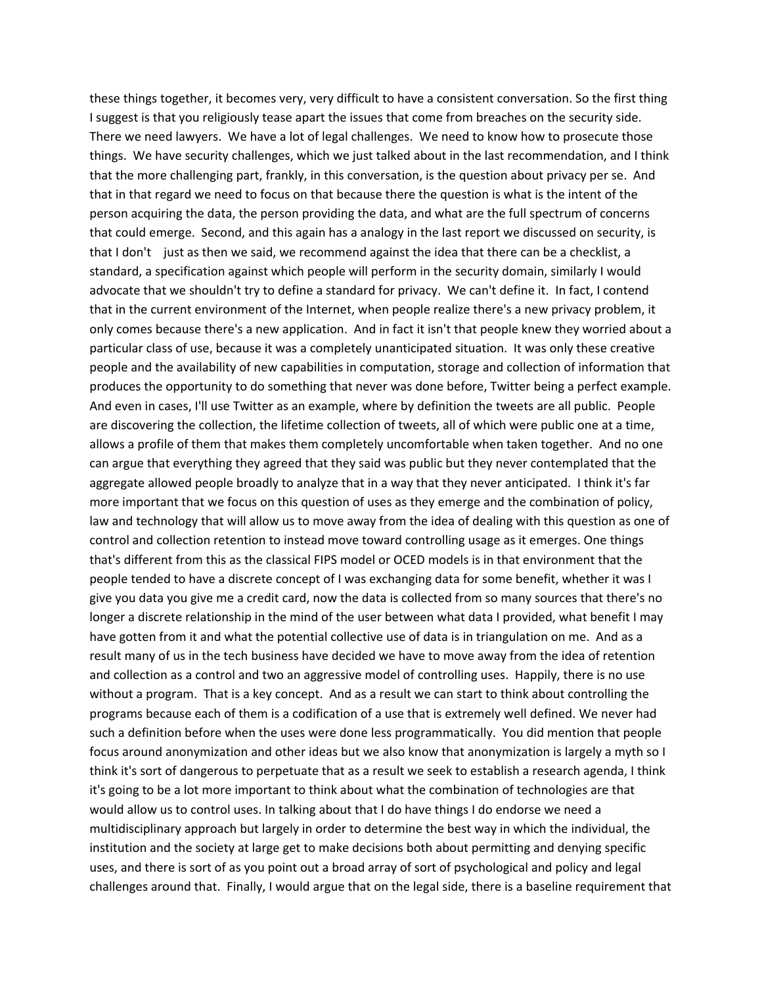these things together, it becomes very, very difficult to have a consistent conversation. So the first thing I suggest is that you religiously tease apart the issues that come from breaches on the security side. There we need lawyers. We have a lot of legal challenges. We need to know how to prosecute those things. We have security challenges, which we just talked about in the last recommendation, and I think that the more challenging part, frankly, in this conversation, is the question about privacy per se. And that in that regard we need to focus on that because there the question is what is the intent of the person acquiring the data, the person providing the data, and what are the full spectrum of concerns that could emerge. Second, and this again has a analogy in the last report we discussed on security, is that I don't just as then we said, we recommend against the idea that there can be a checklist, a standard, a specification against which people will perform in the security domain, similarly I would advocate that we shouldn't try to define a standard for privacy. We can't define it. In fact, I contend that in the current environment of the Internet, when people realize there's a new privacy problem, it only comes because there's a new application. And in fact it isn't that people knew they worried about a particular class of use, because it was a completely unanticipated situation. It was only these creative people and the availability of new capabilities in computation, storage and collection of information that produces the opportunity to do something that never was done before, Twitter being a perfect example. And even in cases, I'll use Twitter as an example, where by definition the tweets are all public. People are discovering the collection, the lifetime collection of tweets, all of which were public one at a time, allows a profile of them that makes them completely uncomfortable when taken together. And no one can argue that everything they agreed that they said was public but they never contemplated that the aggregate allowed people broadly to analyze that in a way that they never anticipated. I think it's far more important that we focus on this question of uses as they emerge and the combination of policy, law and technology that will allow us to move away from the idea of dealing with this question as one of control and collection retention to instead move toward controlling usage as it emerges. One things that's different from this as the classical FIPS model or OCED models is in that environment that the people tended to have a discrete concept of I was exchanging data for some benefit, whether it was I give you data you give me a credit card, now the data is collected from so many sources that there's no longer a discrete relationship in the mind of the user between what data I provided, what benefit I may have gotten from it and what the potential collective use of data is in triangulation on me. And as a result many of us in the tech business have decided we have to move away from the idea of retention and collection as a control and two an aggressive model of controlling uses. Happily, there is no use without a program. That is a key concept. And as a result we can start to think about controlling the programs because each of them is a codification of a use that is extremely well defined. We never had such a definition before when the uses were done less programmatically. You did mention that people focus around anonymization and other ideas but we also know that anonymization is largely a myth so I think it's sort of dangerous to perpetuate that as a result we seek to establish a research agenda, I think it's going to be a lot more important to think about what the combination of technologies are that would allow us to control uses. In talking about that I do have things I do endorse we need a multidisciplinary approach but largely in order to determine the best way in which the individual, the institution and the society at large get to make decisions both about permitting and denying specific uses, and there is sort of as you point out a broad array of sort of psychological and policy and legal challenges around that. Finally, I would argue that on the legal side, there is a baseline requirement that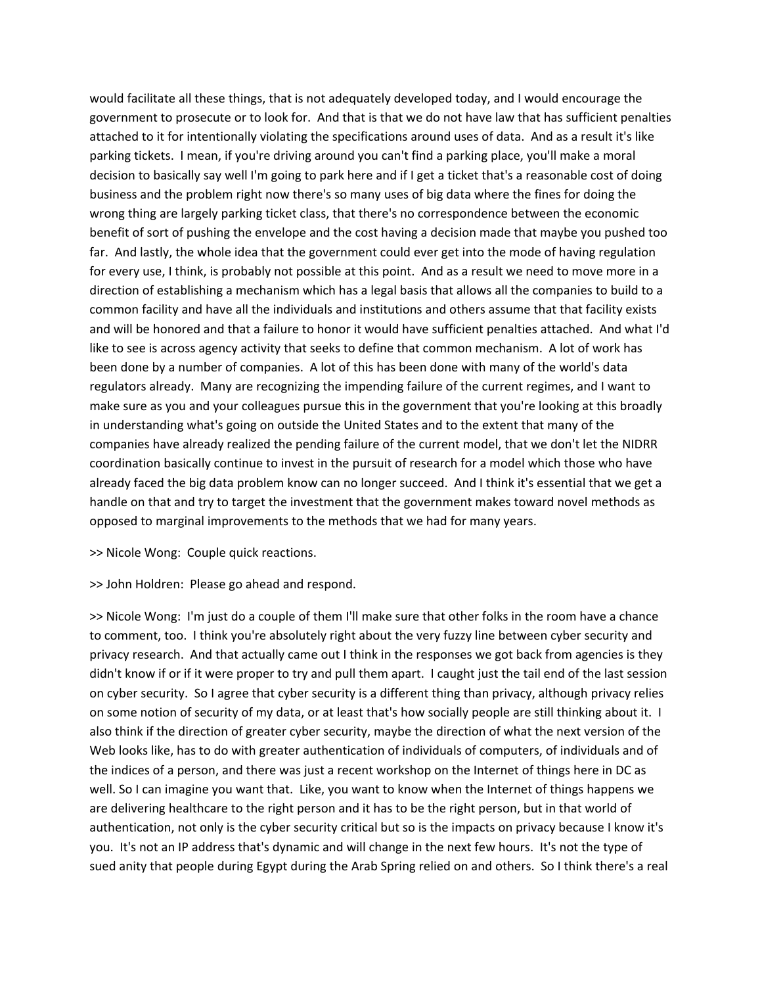would facilitate all these things, that is not adequately developed today, and I would encourage the government to prosecute or to look for. And that is that we do not have law that has sufficient penalties attached to it for intentionally violating the specifications around uses of data. And as a result it's like parking tickets. I mean, if you're driving around you can't find a parking place, you'll make a moral decision to basically say well I'm going to park here and if I get a ticket that's a reasonable cost of doing business and the problem right now there's so many uses of big data where the fines for doing the wrong thing are largely parking ticket class, that there's no correspondence between the economic benefit of sort of pushing the envelope and the cost having a decision made that maybe you pushed too far. And lastly, the whole idea that the government could ever get into the mode of having regulation for every use, I think, is probably not possible at this point. And as a result we need to move more in a direction of establishing a mechanism which has a legal basis that allows all the companies to build to a common facility and have all the individuals and institutions and others assume that that facility exists and will be honored and that a failure to honor it would have sufficient penalties attached. And what I'd like to see is across agency activity that seeks to define that common mechanism. A lot of work has been done by a number of companies. A lot of this has been done with many of the world's data regulators already. Many are recognizing the impending failure of the current regimes, and I want to make sure as you and your colleagues pursue this in the government that you're looking at this broadly in understanding what's going on outside the United States and to the extent that many of the companies have already realized the pending failure of the current model, that we don't let the NIDRR coordination basically continue to invest in the pursuit of research for a model which those who have already faced the big data problem know can no longer succeed. And I think it's essential that we get a handle on that and try to target the investment that the government makes toward novel methods as opposed to marginal improvements to the methods that we had for many years.

>> Nicole Wong: Couple quick reactions.

>> John Holdren: Please go ahead and respond.

>> Nicole Wong: I'm just do a couple of them I'll make sure that other folks in the room have a chance to comment, too. I think you're absolutely right about the very fuzzy line between cyber security and privacy research. And that actually came out I think in the responses we got back from agencies is they didn't know if or if it were proper to try and pull them apart. I caught just the tail end of the last session on cyber security. So I agree that cyber security is a different thing than privacy, although privacy relies on some notion of security of my data, or at least that's how socially people are still thinking about it. I also think if the direction of greater cyber security, maybe the direction of what the next version of the Web looks like, has to do with greater authentication of individuals of computers, of individuals and of the indices of a person, and there was just a recent workshop on the Internet of things here in DC as well. So I can imagine you want that. Like, you want to know when the Internet of things happens we are delivering healthcare to the right person and it has to be the right person, but in that world of authentication, not only is the cyber security critical but so is the impacts on privacy because I know it's you. It's not an IP address that's dynamic and will change in the next few hours. It's not the type of sued anity that people during Egypt during the Arab Spring relied on and others. So I think there's a real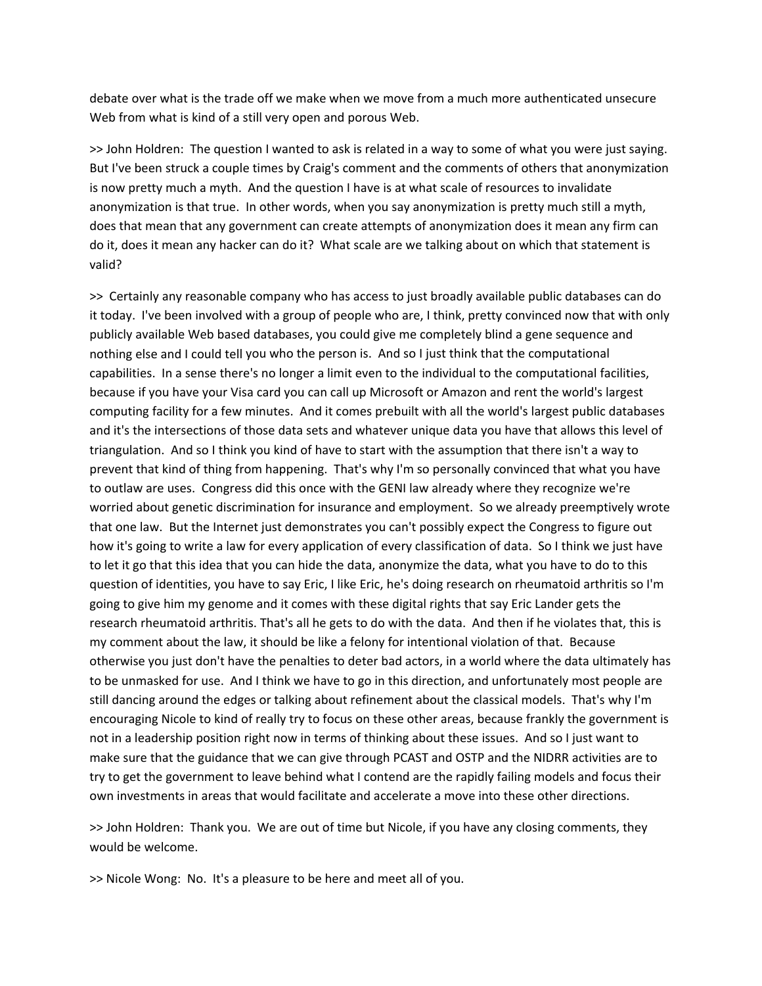debate over what is the trade off we make when we move from a much more authenticated unsecure Web from what is kind of a still very open and porous Web.

>> John Holdren: The question I wanted to ask is related in a way to some of what you were just saying. But I've been struck a couple times by Craig's comment and the comments of others that anonymization is now pretty much a myth. And the question I have is at what scale of resources to invalidate anonymization is that true. In other words, when you say anonymization is pretty much still a myth, does that mean that any government can create attempts of anonymization does it mean any firm can do it, does it mean any hacker can do it? What scale are we talking about on which that statement is valid?

>> Certainly any reasonable company who has access to just broadly available public databases can do it today. I've been involved with a group of people who are, I think, pretty convinced now that with only publicly available Web based databases, you could give me completely blind a gene sequence and nothing else and I could tell you who the person is. And so I just think that the computational capabilities. In a sense there's no longer a limit even to the individual to the computational facilities, because if you have your Visa card you can call up Microsoft or Amazon and rent the world's largest computing facility for a few minutes. And it comes prebuilt with all the world's largest public databases and it's the intersections of those data sets and whatever unique data you have that allows this level of triangulation. And so I think you kind of have to start with the assumption that there isn't a way to prevent that kind of thing from happening. That's why I'm so personally convinced that what you have to outlaw are uses. Congress did this once with the GENI law already where they recognize we're worried about genetic discrimination for insurance and employment. So we already preemptively wrote that one law. But the Internet just demonstrates you can't possibly expect the Congress to figure out how it's going to write a law for every application of every classification of data. So I think we just have to let it go that this idea that you can hide the data, anonymize the data, what you have to do to this question of identities, you have to say Eric, I like Eric, he's doing research on rheumatoid arthritis so I'm going to give him my genome and it comes with these digital rights that say Eric Lander gets the research rheumatoid arthritis. That's all he gets to do with the data. And then if he violates that, this is my comment about the law, it should be like a felony for intentional violation of that. Because otherwise you just don't have the penalties to deter bad actors, in a world where the data ultimately has to be unmasked for use. And I think we have to go in this direction, and unfortunately most people are still dancing around the edges or talking about refinement about the classical models. That's why I'm encouraging Nicole to kind of really try to focus on these other areas, because frankly the government is not in a leadership position right now in terms of thinking about these issues. And so I just want to make sure that the guidance that we can give through PCAST and OSTP and the NIDRR activities are to try to get the government to leave behind what I contend are the rapidly failing models and focus their own investments in areas that would facilitate and accelerate a move into these other directions.

>> John Holdren: Thank you. We are out of time but Nicole, if you have any closing comments, they would be welcome.

>> Nicole Wong: No. It's a pleasure to be here and meet all of you.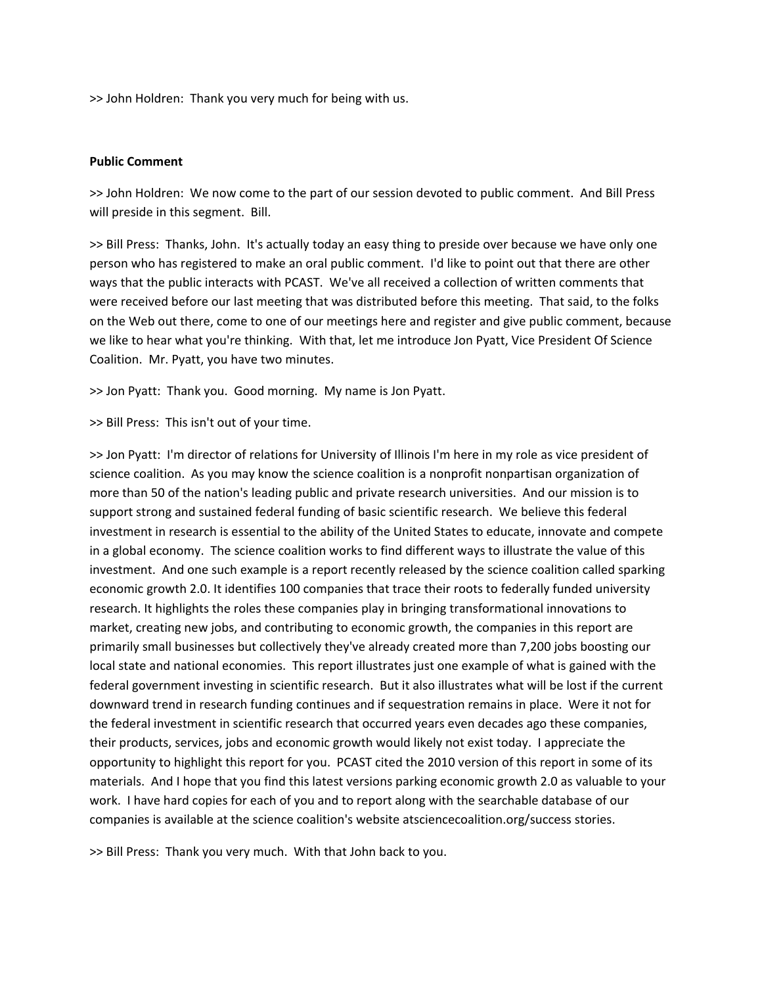>> John Holdren: Thank you very much for being with us.

#### **Public Comment**

>> John Holdren: We now come to the part of our session devoted to public comment. And Bill Press will preside in this segment. Bill.

>> Bill Press: Thanks, John. It's actually today an easy thing to preside over because we have only one person who has registered to make an oral public comment. I'd like to point out that there are other ways that the public interacts with PCAST. We've all received a collection of written comments that were received before our last meeting that was distributed before this meeting. That said, to the folks on the Web out there, come to one of our meetings here and register and give public comment, because we like to hear what you're thinking. With that, let me introduce Jon Pyatt, Vice President Of Science Coalition. Mr. Pyatt, you have two minutes.

>> Jon Pyatt: Thank you. Good morning. My name is Jon Pyatt.

>> Bill Press: This isn't out of your time.

>> Jon Pyatt: I'm director of relations for University of Illinois I'm here in my role as vice president of science coalition. As you may know the science coalition is a nonprofit nonpartisan organization of more than 50 of the nation's leading public and private research universities. And our mission is to support strong and sustained federal funding of basic scientific research. We believe this federal investment in research is essential to the ability of the United States to educate, innovate and compete in a global economy. The science coalition works to find different ways to illustrate the value of this investment. And one such example is a report recently released by the science coalition called sparking economic growth 2.0. It identifies 100 companies that trace their roots to federally funded university research. It highlights the roles these companies play in bringing transformational innovations to market, creating new jobs, and contributing to economic growth, the companies in this report are primarily small businesses but collectively they've already created more than 7,200 jobs boosting our local state and national economies. This report illustrates just one example of what is gained with the federal government investing in scientific research. But it also illustrates what will be lost if the current downward trend in research funding continues and if sequestration remains in place. Were it not for the federal investment in scientific research that occurred years even decades ago these companies, their products, services, jobs and economic growth would likely not exist today. I appreciate the opportunity to highlight this report for you. PCAST cited the 2010 version of this report in some of its materials. And I hope that you find this latest versions parking economic growth 2.0 as valuable to your work. I have hard copies for each of you and to report along with the searchable database of our companies is available at the science coalition's website atsciencecoalition.org/success stories.

>> Bill Press: Thank you very much. With that John back to you.